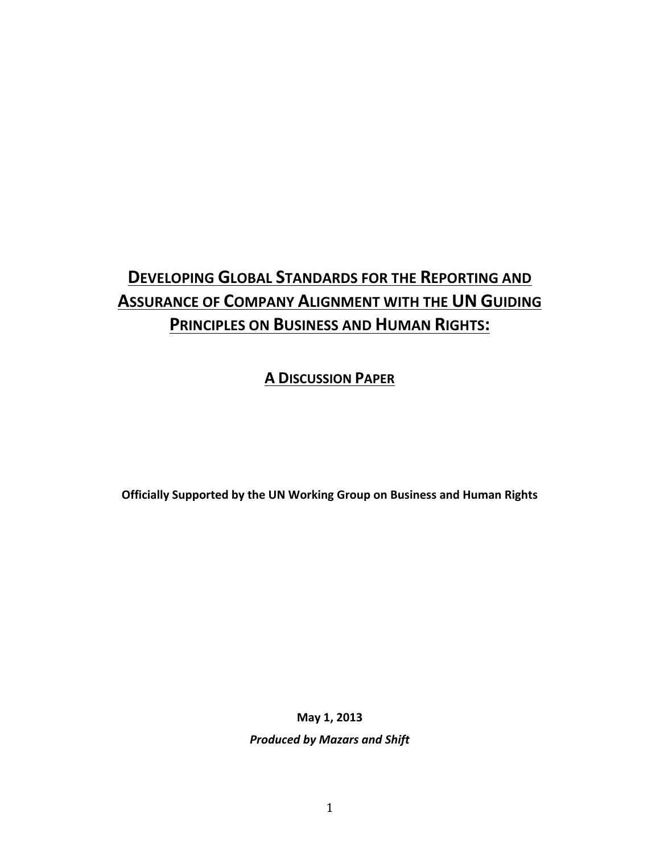# **DEVELOPING GLOBAL STANDARDS FOR THE REPORTING AND ASSURANCE OF COMPANY ALIGNMENT WITH THE UN GUIDING PRINCIPLES ON BUSINESS AND HUMAN RIGHTS:**

# **A DISCUSSION PAPER**

**Officially Supported by the UN Working Group on Business and Human Rights** 

**May 1, 2013**

**Produced by Mazars and Shift**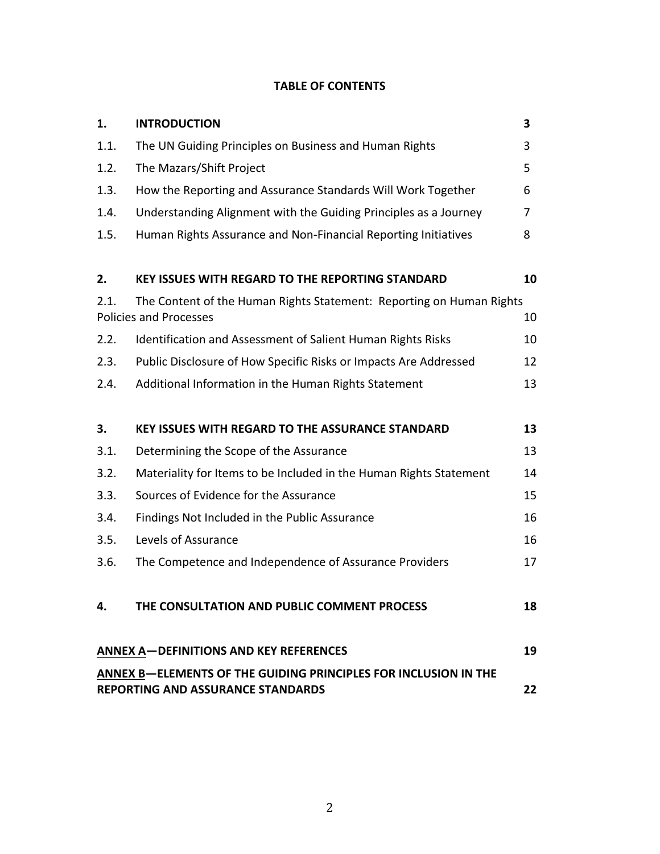# **TABLE OF CONTENTS**

| 1.                                                                                                          | <b>INTRODUCTION</b>                                                                                   | 3  |
|-------------------------------------------------------------------------------------------------------------|-------------------------------------------------------------------------------------------------------|----|
| 1.1.                                                                                                        | The UN Guiding Principles on Business and Human Rights                                                | 3  |
| 1.2.                                                                                                        | The Mazars/Shift Project                                                                              | 5  |
| 1.3.                                                                                                        | How the Reporting and Assurance Standards Will Work Together                                          | 6  |
| 1.4.                                                                                                        | Understanding Alignment with the Guiding Principles as a Journey                                      | 7  |
| 1.5.                                                                                                        | Human Rights Assurance and Non-Financial Reporting Initiatives                                        | 8  |
| 2.                                                                                                          | <b>KEY ISSUES WITH REGARD TO THE REPORTING STANDARD</b>                                               | 10 |
| 2.1.                                                                                                        | The Content of the Human Rights Statement: Reporting on Human Rights<br><b>Policies and Processes</b> | 10 |
| 2.2.                                                                                                        | Identification and Assessment of Salient Human Rights Risks                                           | 10 |
| 2.3.                                                                                                        | Public Disclosure of How Specific Risks or Impacts Are Addressed                                      | 12 |
| 2.4.                                                                                                        | Additional Information in the Human Rights Statement                                                  | 13 |
| 3.                                                                                                          | <b>KEY ISSUES WITH REGARD TO THE ASSURANCE STANDARD</b>                                               | 13 |
| 3.1.                                                                                                        | Determining the Scope of the Assurance                                                                | 13 |
| 3.2.                                                                                                        | Materiality for Items to be Included in the Human Rights Statement                                    | 14 |
| 3.3.                                                                                                        | Sources of Evidence for the Assurance                                                                 | 15 |
| 3.4.                                                                                                        | Findings Not Included in the Public Assurance                                                         | 16 |
| 3.5.                                                                                                        | Levels of Assurance                                                                                   | 16 |
| 3.6.                                                                                                        | The Competence and Independence of Assurance Providers                                                | 17 |
| 4.                                                                                                          | THE CONSULTATION AND PUBLIC COMMENT PROCESS                                                           | 18 |
|                                                                                                             | <b>ANNEX A-DEFINITIONS AND KEY REFERENCES</b>                                                         | 19 |
| ANNEX B-ELEMENTS OF THE GUIDING PRINCIPLES FOR INCLUSION IN THE<br><b>REPORTING AND ASSURANCE STANDARDS</b> |                                                                                                       | 22 |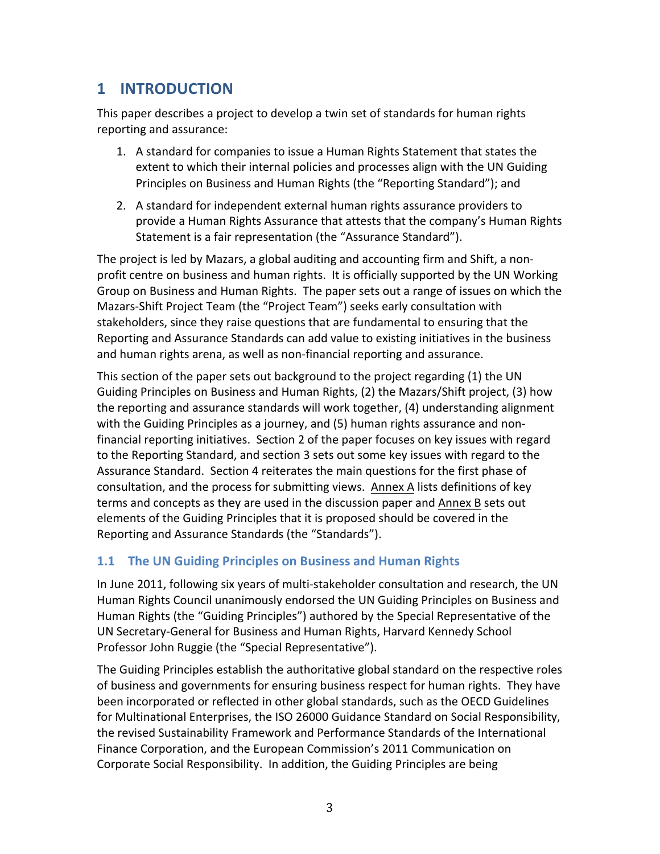# **1 INTRODUCTION**

This paper describes a project to develop a twin set of standards for human rights reporting and assurance:

- 1. A standard for companies to issue a Human Rights Statement that states the extent to which their internal policies and processes align with the UN Guiding Principles on Business and Human Rights (the "Reporting Standard"); and
- 2. A standard for independent external human rights assurance providers to provide a Human Rights Assurance that attests that the company's Human Rights Statement is a fair representation (the "Assurance Standard").

The project is led by Mazars, a global auditing and accounting firm and Shift, a nonprofit centre on business and human rights. It is officially supported by the UN Working Group on Business and Human Rights. The paper sets out a range of issues on which the Mazars-Shift Project Team (the "Project Team") seeks early consultation with stakeholders, since they raise questions that are fundamental to ensuring that the Reporting and Assurance Standards can add value to existing initiatives in the business and human rights arena, as well as non-financial reporting and assurance.

This section of the paper sets out background to the project regarding (1) the UN Guiding Principles on Business and Human Rights, (2) the Mazars/Shift project, (3) how the reporting and assurance standards will work together, (4) understanding alignment with the Guiding Principles as a journey, and  $(5)$  human rights assurance and nonfinancial reporting initiatives. Section 2 of the paper focuses on key issues with regard to the Reporting Standard, and section 3 sets out some key issues with regard to the Assurance Standard. Section 4 reiterates the main questions for the first phase of consultation, and the process for submitting views. Annex A lists definitions of key terms and concepts as they are used in the discussion paper and Annex B sets out elements of the Guiding Principles that it is proposed should be covered in the Reporting and Assurance Standards (the "Standards").

## **1.1 The UN Guiding Principles on Business and Human Rights**

In June 2011, following six years of multi-stakeholder consultation and research, the UN Human Rights Council unanimously endorsed the UN Guiding Principles on Business and Human Rights (the "Guiding Principles") authored by the Special Representative of the UN Secretary-General for Business and Human Rights, Harvard Kennedy School Professor John Ruggie (the "Special Representative").

The Guiding Principles establish the authoritative global standard on the respective roles of business and governments for ensuring business respect for human rights. They have been incorporated or reflected in other global standards, such as the OECD Guidelines for Multinational Enterprises, the ISO 26000 Guidance Standard on Social Responsibility, the revised Sustainability Framework and Performance Standards of the International Finance Corporation, and the European Commission's 2011 Communication on Corporate Social Responsibility. In addition, the Guiding Principles are being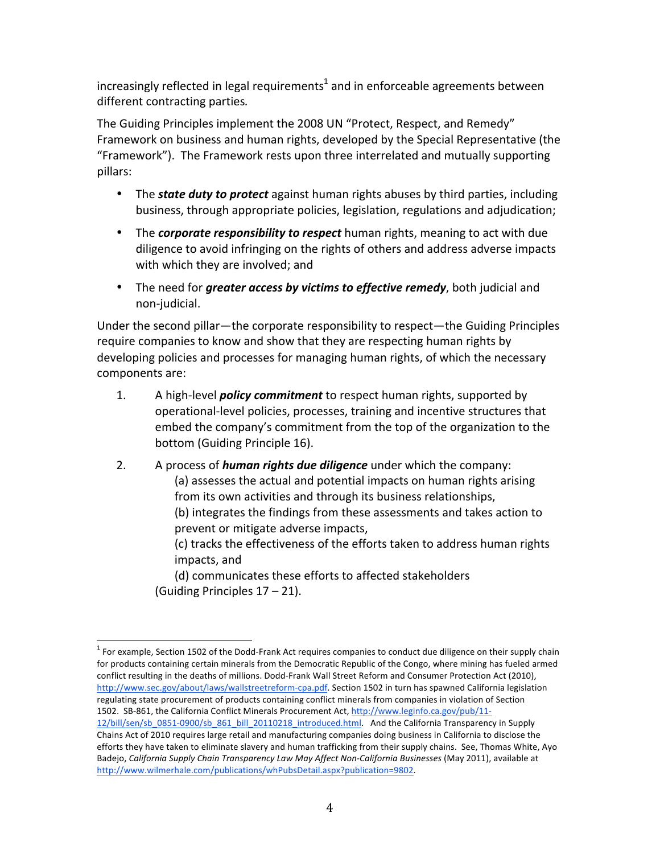increasingly reflected in legal requirements<sup>1</sup> and in enforceable agreements between different contracting parties.

The Guiding Principles implement the 2008 UN "Protect, Respect, and Remedy" Framework on business and human rights, developed by the Special Representative (the "Framework"). The Framework rests upon three interrelated and mutually supporting pillars:

- The *state duty to protect* against human rights abuses by third parties, including business, through appropriate policies, legislation, regulations and adjudication;
- The *corporate responsibility to respect* human rights, meaning to act with due diligence to avoid infringing on the rights of others and address adverse impacts with which they are involved; and
- The need for *greater access by victims to effective remedy*, both judicial and non-judicial.

Under the second pillar—the corporate responsibility to respect—the Guiding Principles require companies to know and show that they are respecting human rights by developing policies and processes for managing human rights, of which the necessary components are:

- 1. A high-level *policy commitment* to respect human rights, supported by operational-level policies, processes, training and incentive structures that embed the company's commitment from the top of the organization to the bottom (Guiding Principle 16).
- 2. A process of **human rights due diligence** under which the company: (a) assesses the actual and potential impacts on human rights arising from its own activities and through its business relationships, (b) integrates the findings from these assessments and takes action to prevent or mitigate adverse impacts, (c) tracks the effectiveness of the efforts taken to address human rights impacts, and

(d) communicates these efforts to affected stakeholders (Guiding Principles  $17 - 21$ ).

 $1$  For example, Section 1502 of the Dodd-Frank Act requires companies to conduct due diligence on their supply chain for products containing certain minerals from the Democratic Republic of the Congo, where mining has fueled armed conflict resulting in the deaths of millions. Dodd-Frank Wall Street Reform and Consumer Protection Act (2010), http://www.sec.gov/about/laws/wallstreetreform-cpa.pdf. Section 1502 in turn has spawned California legislation regulating state procurement of products containing conflict minerals from companies in violation of Section 1502. SB-861, the California Conflict Minerals Procurement Act, http://www.leginfo.ca.gov/pub/11-

<sup>12/</sup>bill/sen/sb\_0851-0900/sb\_861\_bill\_20110218\_introduced.html. And the California Transparency in Supply Chains Act of 2010 requires large retail and manufacturing companies doing business in California to disclose the efforts they have taken to eliminate slavery and human trafficking from their supply chains. See, Thomas White, Ayo Badejo, *California Supply Chain Transparency Law May Affect Non-California Businesses* (May 2011), available at http://www.wilmerhale.com/publications/whPubsDetail.aspx?publication=9802.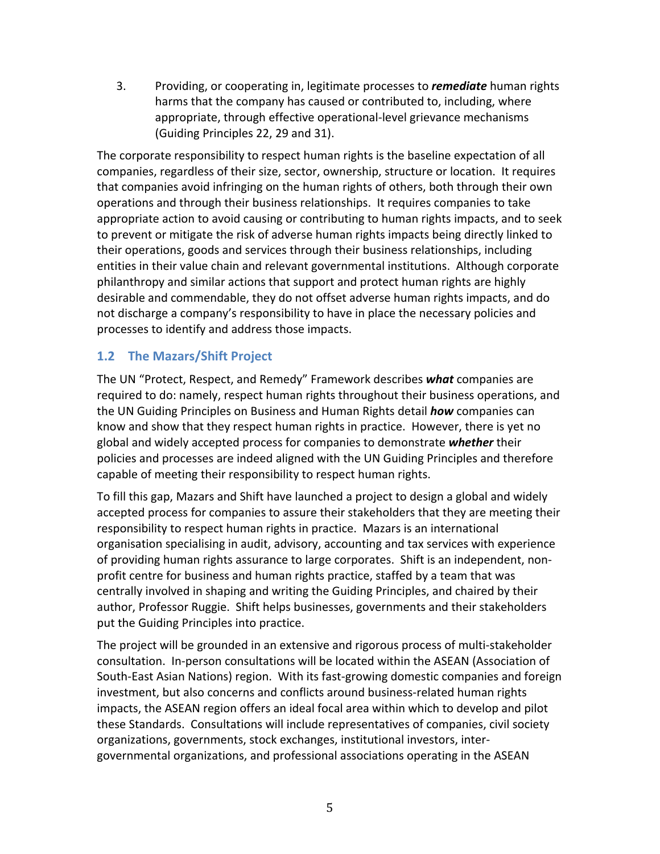3. Providing, or cooperating in, legitimate processes to **remediate** human rights harms that the company has caused or contributed to, including, where appropriate, through effective operational-level grievance mechanisms (Guiding Principles 22, 29 and 31).

The corporate responsibility to respect human rights is the baseline expectation of all companies, regardless of their size, sector, ownership, structure or location. It requires that companies avoid infringing on the human rights of others, both through their own operations and through their business relationships. It requires companies to take appropriate action to avoid causing or contributing to human rights impacts, and to seek to prevent or mitigate the risk of adverse human rights impacts being directly linked to their operations, goods and services through their business relationships, including entities in their value chain and relevant governmental institutions. Although corporate philanthropy and similar actions that support and protect human rights are highly desirable and commendable, they do not offset adverse human rights impacts, and do not discharge a company's responsibility to have in place the necessary policies and processes to identify and address those impacts.

## **1.2 The Mazars/Shift Project**

The UN "Protect, Respect, and Remedy" Framework describes what companies are required to do: namely, respect human rights throughout their business operations, and the UN Guiding Principles on Business and Human Rights detail *how* companies can know and show that they respect human rights in practice. However, there is yet no global and widely accepted process for companies to demonstrate *whether* their policies and processes are indeed aligned with the UN Guiding Principles and therefore capable of meeting their responsibility to respect human rights.

To fill this gap, Mazars and Shift have launched a project to design a global and widely accepted process for companies to assure their stakeholders that they are meeting their responsibility to respect human rights in practice. Mazars is an international organisation specialising in audit, advisory, accounting and tax services with experience of providing human rights assurance to large corporates. Shift is an independent, nonprofit centre for business and human rights practice, staffed by a team that was centrally involved in shaping and writing the Guiding Principles, and chaired by their author, Professor Ruggie. Shift helps businesses, governments and their stakeholders put the Guiding Principles into practice.

The project will be grounded in an extensive and rigorous process of multi-stakeholder consultation. In-person consultations will be located within the ASEAN (Association of South-East Asian Nations) region. With its fast-growing domestic companies and foreign investment, but also concerns and conflicts around business-related human rights impacts, the ASEAN region offers an ideal focal area within which to develop and pilot these Standards. Consultations will include representatives of companies, civil society organizations, governments, stock exchanges, institutional investors, intergovernmental organizations, and professional associations operating in the ASEAN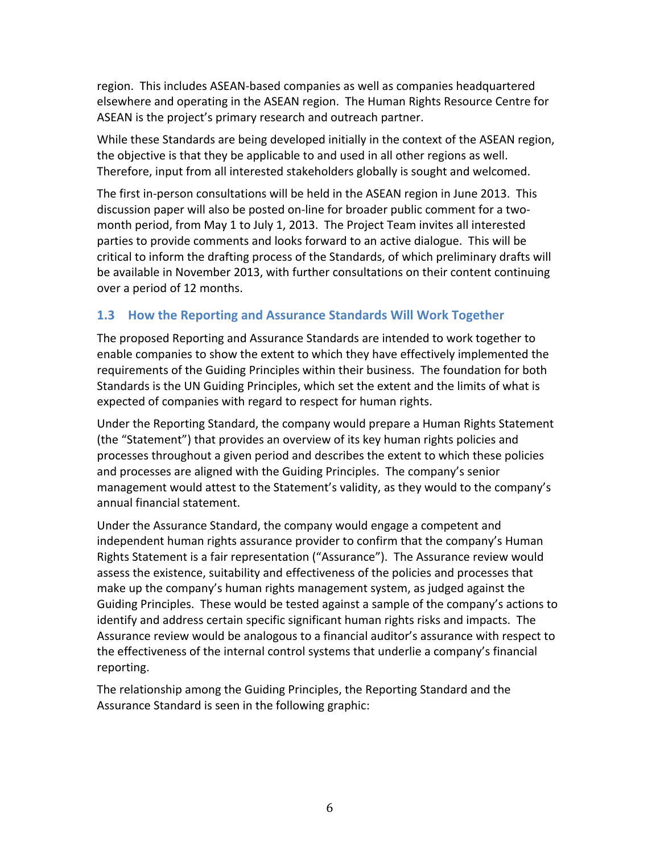region. This includes ASEAN-based companies as well as companies headquartered elsewhere and operating in the ASEAN region. The Human Rights Resource Centre for ASEAN is the project's primary research and outreach partner.

While these Standards are being developed initially in the context of the ASEAN region, the objective is that they be applicable to and used in all other regions as well. Therefore, input from all interested stakeholders globally is sought and welcomed.

The first in-person consultations will be held in the ASEAN region in June 2013. This discussion paper will also be posted on-line for broader public comment for a twomonth period, from May 1 to July 1, 2013. The Project Team invites all interested parties to provide comments and looks forward to an active dialogue. This will be critical to inform the drafting process of the Standards, of which preliminary drafts will be available in November 2013, with further consultations on their content continuing over a period of 12 months.

# **1.3** How the Reporting and Assurance Standards Will Work Together

The proposed Reporting and Assurance Standards are intended to work together to enable companies to show the extent to which they have effectively implemented the requirements of the Guiding Principles within their business. The foundation for both Standards is the UN Guiding Principles, which set the extent and the limits of what is expected of companies with regard to respect for human rights.

Under the Reporting Standard, the company would prepare a Human Rights Statement (the "Statement") that provides an overview of its key human rights policies and processes throughout a given period and describes the extent to which these policies and processes are aligned with the Guiding Principles. The company's senior management would attest to the Statement's validity, as they would to the company's annual financial statement.

Under the Assurance Standard, the company would engage a competent and independent human rights assurance provider to confirm that the company's Human Rights Statement is a fair representation ("Assurance"). The Assurance review would assess the existence, suitability and effectiveness of the policies and processes that make up the company's human rights management system, as judged against the Guiding Principles. These would be tested against a sample of the company's actions to identify and address certain specific significant human rights risks and impacts. The Assurance review would be analogous to a financial auditor's assurance with respect to the effectiveness of the internal control systems that underlie a company's financial reporting. 

The relationship among the Guiding Principles, the Reporting Standard and the Assurance Standard is seen in the following graphic: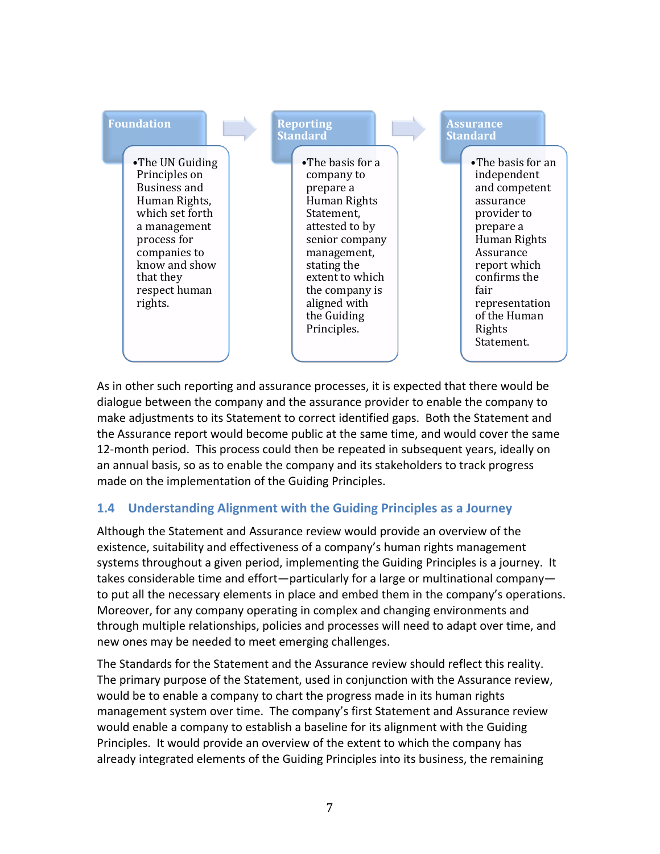

As in other such reporting and assurance processes, it is expected that there would be dialogue between the company and the assurance provider to enable the company to make adjustments to its Statement to correct identified gaps. Both the Statement and the Assurance report would become public at the same time, and would cover the same 12-month period. This process could then be repeated in subsequent years, ideally on an annual basis, so as to enable the company and its stakeholders to track progress made on the implementation of the Guiding Principles.

## **1.4 Understanding Alignment with the Guiding Principles as a Journey**

Although the Statement and Assurance review would provide an overview of the existence, suitability and effectiveness of a company's human rights management systems throughout a given period, implementing the Guiding Principles is a journey. It takes considerable time and effort—particularly for a large or multinational company to put all the necessary elements in place and embed them in the company's operations. Moreover, for any company operating in complex and changing environments and through multiple relationships, policies and processes will need to adapt over time, and new ones may be needed to meet emerging challenges.

The Standards for the Statement and the Assurance review should reflect this reality. The primary purpose of the Statement, used in conjunction with the Assurance review, would be to enable a company to chart the progress made in its human rights management system over time. The company's first Statement and Assurance review would enable a company to establish a baseline for its alignment with the Guiding Principles. It would provide an overview of the extent to which the company has already integrated elements of the Guiding Principles into its business, the remaining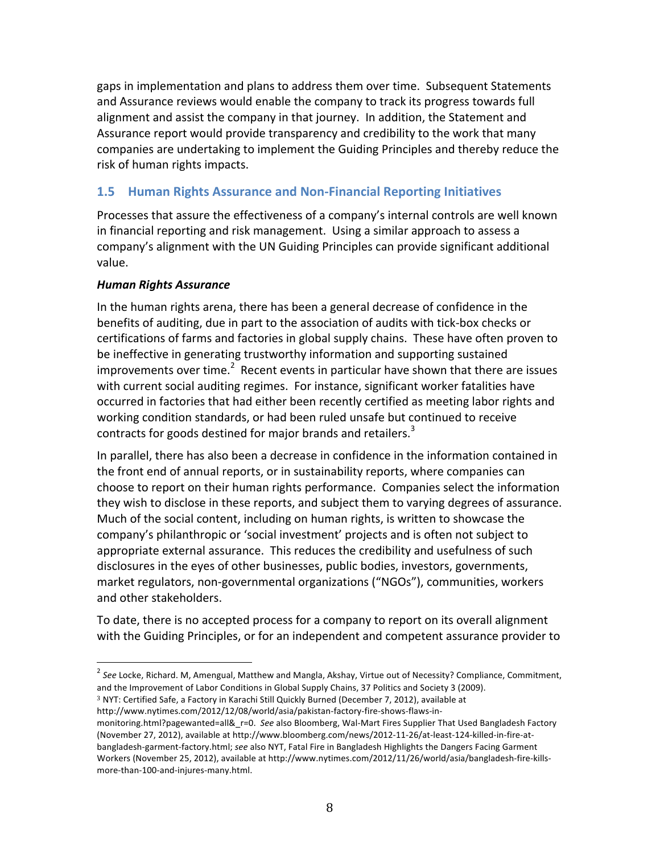gaps in implementation and plans to address them over time. Subsequent Statements and Assurance reviews would enable the company to track its progress towards full alignment and assist the company in that journey. In addition, the Statement and Assurance report would provide transparency and credibility to the work that many companies are undertaking to implement the Guiding Principles and thereby reduce the risk of human rights impacts.

#### **1.5 Human Rights Assurance and Non-Financial Reporting Initiatives**

Processes that assure the effectiveness of a company's internal controls are well known in financial reporting and risk management. Using a similar approach to assess a company's alignment with the UN Guiding Principles can provide significant additional value. 

#### *Human Rights Assurance*

In the human rights arena, there has been a general decrease of confidence in the benefits of auditing, due in part to the association of audits with tick-box checks or certifications of farms and factories in global supply chains. These have often proven to be ineffective in generating trustworthy information and supporting sustained improvements over time.<sup>2</sup> Recent events in particular have shown that there are issues with current social auditing regimes. For instance, significant worker fatalities have occurred in factories that had either been recently certified as meeting labor rights and working condition standards, or had been ruled unsafe but continued to receive contracts for goods destined for major brands and retailers.<sup>3</sup>

In parallel, there has also been a decrease in confidence in the information contained in the front end of annual reports, or in sustainability reports, where companies can choose to report on their human rights performance. Companies select the information they wish to disclose in these reports, and subject them to varying degrees of assurance. Much of the social content, including on human rights, is written to showcase the company's philanthropic or 'social investment' projects and is often not subject to appropriate external assurance. This reduces the credibility and usefulness of such disclosures in the eyes of other businesses, public bodies, investors, governments, market regulators, non-governmental organizations ("NGOs"), communities, workers and other stakeholders.

To date, there is no accepted process for a company to report on its overall alignment with the Guiding Principles, or for an independent and competent assurance provider to

- <sup>3</sup> NYT: Certified Safe, a Factory in Karachi Still Quickly Burned (December 7, 2012), available at http://www.nytimes.com/2012/12/08/world/asia/pakistan-factory-fire-shows-flaws-in-
- monitoring.html?pagewanted=all& r=0. See also Bloomberg, Wal-Mart Fires Supplier That Used Bangladesh Factory (November 27, 2012), available at http://www.bloomberg.com/news/2012-11-26/at-least-124-killed-in-fire-atbangladesh-garment-factory.html; see also NYT, Fatal Fire in Bangladesh Highlights the Dangers Facing Garment Workers (November 25, 2012), available at http://www.nytimes.com/2012/11/26/world/asia/bangladesh-fire-killsmore-than-100-and-injures-many.html.

<sup>&</sup>lt;sup>2</sup> See Locke, Richard. M, Amengual, Matthew and Mangla, Akshay, Virtue out of Necessity? Compliance, Commitment, and the Improvement of Labor Conditions in Global Supply Chains, 37 Politics and Society 3 (2009).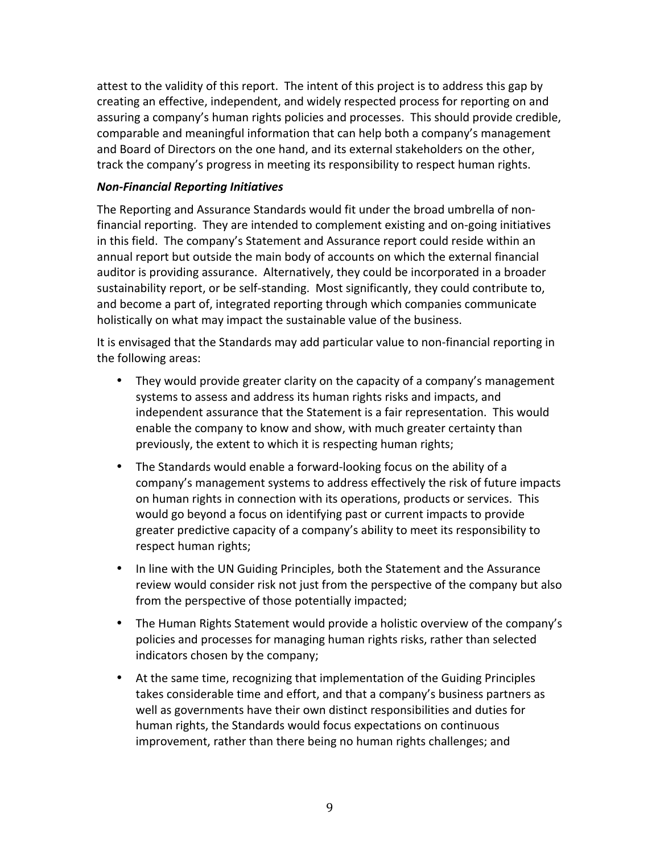attest to the validity of this report. The intent of this project is to address this gap by creating an effective, independent, and widely respected process for reporting on and assuring a company's human rights policies and processes. This should provide credible, comparable and meaningful information that can help both a company's management and Board of Directors on the one hand, and its external stakeholders on the other, track the company's progress in meeting its responsibility to respect human rights.

#### *Non-Financial Reporting Initiatives*

The Reporting and Assurance Standards would fit under the broad umbrella of nonfinancial reporting. They are intended to complement existing and on-going initiatives in this field. The company's Statement and Assurance report could reside within an annual report but outside the main body of accounts on which the external financial auditor is providing assurance. Alternatively, they could be incorporated in a broader sustainability report, or be self-standing. Most significantly, they could contribute to, and become a part of, integrated reporting through which companies communicate holistically on what may impact the sustainable value of the business.

It is envisaged that the Standards may add particular value to non-financial reporting in the following areas:

- They would provide greater clarity on the capacity of a company's management systems to assess and address its human rights risks and impacts, and independent assurance that the Statement is a fair representation. This would enable the company to know and show, with much greater certainty than previously, the extent to which it is respecting human rights;
- The Standards would enable a forward-looking focus on the ability of a company's management systems to address effectively the risk of future impacts on human rights in connection with its operations, products or services. This would go beyond a focus on identifying past or current impacts to provide greater predictive capacity of a company's ability to meet its responsibility to respect human rights;
- In line with the UN Guiding Principles, both the Statement and the Assurance review would consider risk not just from the perspective of the company but also from the perspective of those potentially impacted;
- The Human Rights Statement would provide a holistic overview of the company's policies and processes for managing human rights risks, rather than selected indicators chosen by the company;
- At the same time, recognizing that implementation of the Guiding Principles takes considerable time and effort, and that a company's business partners as well as governments have their own distinct responsibilities and duties for human rights, the Standards would focus expectations on continuous improvement, rather than there being no human rights challenges; and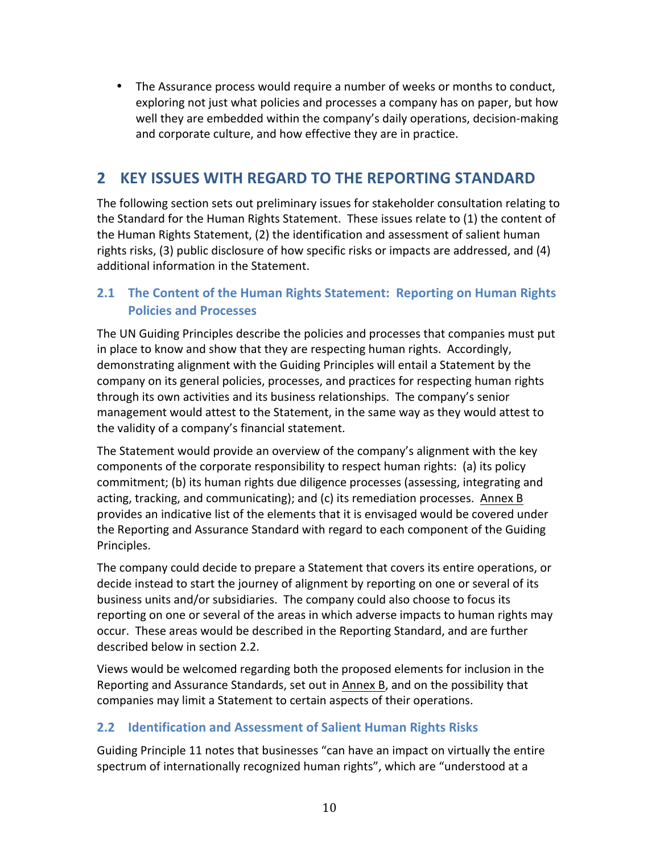• The Assurance process would require a number of weeks or months to conduct, exploring not just what policies and processes a company has on paper, but how well they are embedded within the company's daily operations, decision-making and corporate culture, and how effective they are in practice.

# **2 KEY ISSUES WITH REGARD TO THE REPORTING STANDARD**

The following section sets out preliminary issues for stakeholder consultation relating to the Standard for the Human Rights Statement. These issues relate to (1) the content of the Human Rights Statement, (2) the identification and assessment of salient human rights risks,  $(3)$  public disclosure of how specific risks or impacts are addressed, and  $(4)$ additional information in the Statement.

## **2.1 The Content of the Human Rights Statement: Reporting on Human Rights Policies and Processes**

The UN Guiding Principles describe the policies and processes that companies must put in place to know and show that they are respecting human rights. Accordingly, demonstrating alignment with the Guiding Principles will entail a Statement by the company on its general policies, processes, and practices for respecting human rights through its own activities and its business relationships. The company's senior management would attest to the Statement, in the same way as they would attest to the validity of a company's financial statement.

The Statement would provide an overview of the company's alignment with the key components of the corporate responsibility to respect human rights: (a) its policy commitment; (b) its human rights due diligence processes (assessing, integrating and acting, tracking, and communicating); and (c) its remediation processes. Annex B provides an indicative list of the elements that it is envisaged would be covered under the Reporting and Assurance Standard with regard to each component of the Guiding Principles. 

The company could decide to prepare a Statement that covers its entire operations, or decide instead to start the journey of alignment by reporting on one or several of its business units and/or subsidiaries. The company could also choose to focus its reporting on one or several of the areas in which adverse impacts to human rights may occur. These areas would be described in the Reporting Standard, and are further described below in section 2.2.

Views would be welcomed regarding both the proposed elements for inclusion in the Reporting and Assurance Standards, set out in Annex B, and on the possibility that companies may limit a Statement to certain aspects of their operations.

## **2.2 Identification and Assessment of Salient Human Rights Risks**

Guiding Principle 11 notes that businesses "can have an impact on virtually the entire spectrum of internationally recognized human rights", which are "understood at a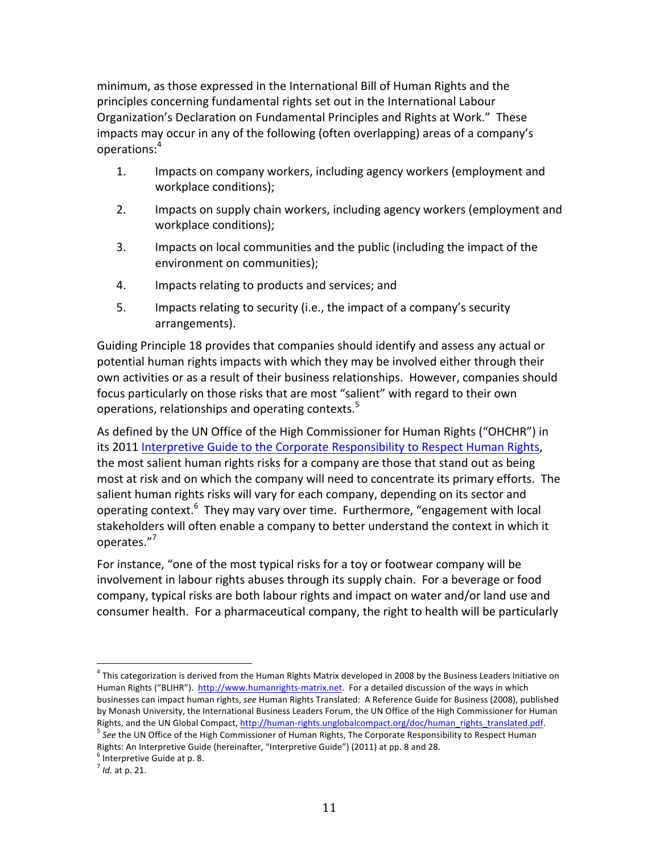minimum, as those expressed in the International Bill of Human Rights and the principles concerning fundamental rights set out in the International Labour Organization's Declaration on Fundamental Principles and Rights at Work." These impacts may occur in any of the following (often overlapping) areas of a company's operations: 4

- 1. Impacts on company workers, including agency workers (employment and workplace conditions);
- 2. Impacts on supply chain workers, including agency workers (employment and workplace conditions);
- 3. Impacts on local communities and the public (including the impact of the environment on communities);
- 4. Impacts relating to products and services; and
- 5. Impacts relating to security (i.e., the impact of a company's security arrangements).

Guiding Principle 18 provides that companies should identify and assess any actual or potential human rights impacts with which they may be involved either through their own activities or as a result of their business relationships. However, companies should focus particularly on those risks that are most "salient" with regard to their own operations, relationships and operating contexts.<sup>5</sup>

As defined by the UN Office of the High Commissioner for Human Rights ("OHCHR") in its 2011 Interpretive Guide to the Corporate Responsibility to Respect Human Rights, the most salient human rights risks for a company are those that stand out as being most at risk and on which the company will need to concentrate its primary efforts. The salient human rights risks will vary for each company, depending on its sector and operating context.<sup>6</sup> They may vary over time. Furthermore, "engagement with local stakeholders will often enable a company to better understand the context in which it operates."<sup>7</sup>

For instance, "one of the most typical risks for a toy or footwear company will be involvement in labour rights abuses through its supply chain. For a beverage or food company, typical risks are both labour rights and impact on water and/or land use and consumer health. For a pharmaceutical company, the right to health will be particularly

 $^4$  This categorization is derived from the Human Rights Matrix developed in 2008 by the Business Leaders Initiative on Human Rights ("BLIHR"). http://www.humanrights-matrix.net. For a detailed discussion of the ways in which businesses can impact human rights, see Human Rights Translated: A Reference Guide for Business (2008), published by Monash University, the International Business Leaders Forum, the UN Office of the High Commissioner for Human Rights, and the UN Global Compact, http://human-rights.unglobalcompact.org/doc/human\_rights\_translated.pdf. 5 *See* the UN Office of the High Commissioner of Human Rights, The Corporate Responsibility to Respect Human

Rights: An Interpretive Guide (hereinafter, "Interpretive Guide") (2011) at pp. 8 and 28.  $6$  Interpretive Guide at p. 8.

 $<sup>7</sup>$  *Id.* at p. 21.</sup>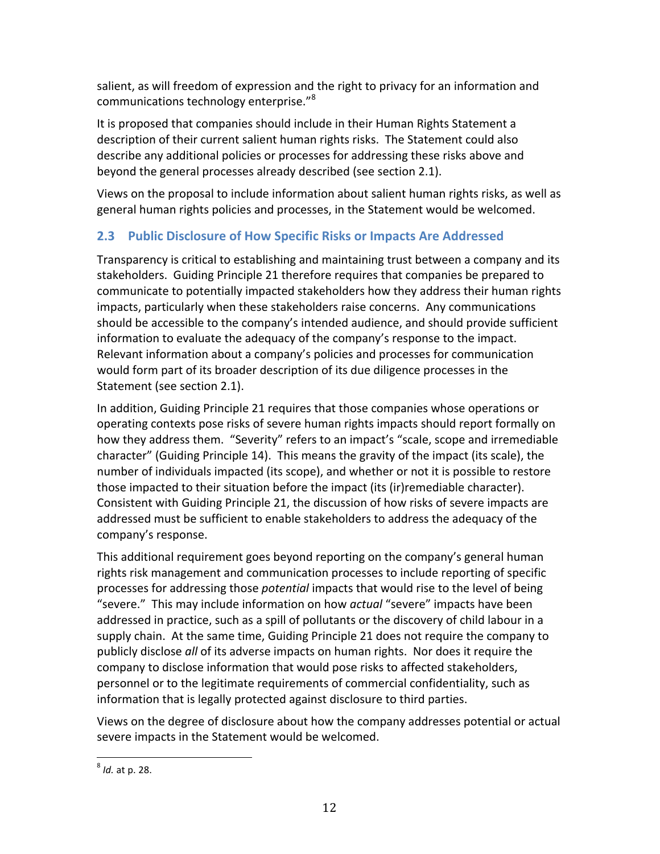salient, as will freedom of expression and the right to privacy for an information and communications technology enterprise." $8$ 

It is proposed that companies should include in their Human Rights Statement a description of their current salient human rights risks. The Statement could also describe any additional policies or processes for addressing these risks above and beyond the general processes already described (see section 2.1).

Views on the proposal to include information about salient human rights risks, as well as general human rights policies and processes, in the Statement would be welcomed.

# **2.3** Public Disclosure of How Specific Risks or Impacts Are Addressed

Transparency is critical to establishing and maintaining trust between a company and its stakeholders. Guiding Principle 21 therefore requires that companies be prepared to communicate to potentially impacted stakeholders how they address their human rights impacts, particularly when these stakeholders raise concerns. Any communications should be accessible to the company's intended audience, and should provide sufficient information to evaluate the adequacy of the company's response to the impact. Relevant information about a company's policies and processes for communication would form part of its broader description of its due diligence processes in the Statement (see section 2.1).

In addition, Guiding Principle 21 requires that those companies whose operations or operating contexts pose risks of severe human rights impacts should report formally on how they address them. "Severity" refers to an impact's "scale, scope and irremediable character" (Guiding Principle 14). This means the gravity of the impact (its scale), the number of individuals impacted (its scope), and whether or not it is possible to restore those impacted to their situation before the impact (its (ir)remediable character). Consistent with Guiding Principle 21, the discussion of how risks of severe impacts are addressed must be sufficient to enable stakeholders to address the adequacy of the company's response.

This additional requirement goes beyond reporting on the company's general human rights risk management and communication processes to include reporting of specific processes for addressing those *potential* impacts that would rise to the level of being "severe." This may include information on how *actual* "severe" impacts have been addressed in practice, such as a spill of pollutants or the discovery of child labour in a supply chain. At the same time, Guiding Principle 21 does not require the company to publicly disclose all of its adverse impacts on human rights. Nor does it require the company to disclose information that would pose risks to affected stakeholders, personnel or to the legitimate requirements of commercial confidentiality, such as information that is legally protected against disclosure to third parties.

Views on the degree of disclosure about how the company addresses potential or actual severe impacts in the Statement would be welcomed.

 $<sup>8</sup>$  *Id.* at p. 28.</sup>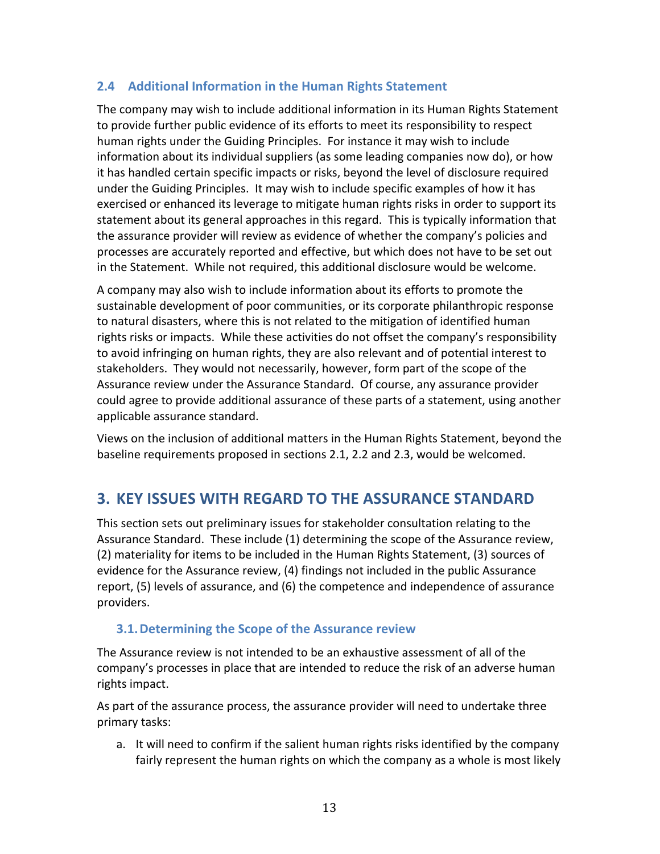#### **2.4 Additional Information in the Human Rights Statement**

The company may wish to include additional information in its Human Rights Statement to provide further public evidence of its efforts to meet its responsibility to respect human rights under the Guiding Principles. For instance it may wish to include information about its individual suppliers (as some leading companies now do), or how it has handled certain specific impacts or risks, beyond the level of disclosure required under the Guiding Principles. It may wish to include specific examples of how it has exercised or enhanced its leverage to mitigate human rights risks in order to support its statement about its general approaches in this regard. This is typically information that the assurance provider will review as evidence of whether the company's policies and processes are accurately reported and effective, but which does not have to be set out in the Statement. While not required, this additional disclosure would be welcome.

A company may also wish to include information about its efforts to promote the sustainable development of poor communities, or its corporate philanthropic response to natural disasters, where this is not related to the mitigation of identified human rights risks or impacts. While these activities do not offset the company's responsibility to avoid infringing on human rights, they are also relevant and of potential interest to stakeholders. They would not necessarily, however, form part of the scope of the Assurance review under the Assurance Standard. Of course, any assurance provider could agree to provide additional assurance of these parts of a statement, using another applicable assurance standard.

Views on the inclusion of additional matters in the Human Rights Statement, beyond the baseline requirements proposed in sections 2.1, 2.2 and 2.3, would be welcomed.

# **3. KEY ISSUES WITH REGARD TO THE ASSURANCE STANDARD**

This section sets out preliminary issues for stakeholder consultation relating to the Assurance Standard. These include (1) determining the scope of the Assurance review, (2) materiality for items to be included in the Human Rights Statement, (3) sources of evidence for the Assurance review, (4) findings not included in the public Assurance report, (5) levels of assurance, and (6) the competence and independence of assurance providers.

## **3.1. Determining the Scope of the Assurance review**

The Assurance review is not intended to be an exhaustive assessment of all of the company's processes in place that are intended to reduce the risk of an adverse human rights impact.

As part of the assurance process, the assurance provider will need to undertake three primary tasks:

a. It will need to confirm if the salient human rights risks identified by the company fairly represent the human rights on which the company as a whole is most likely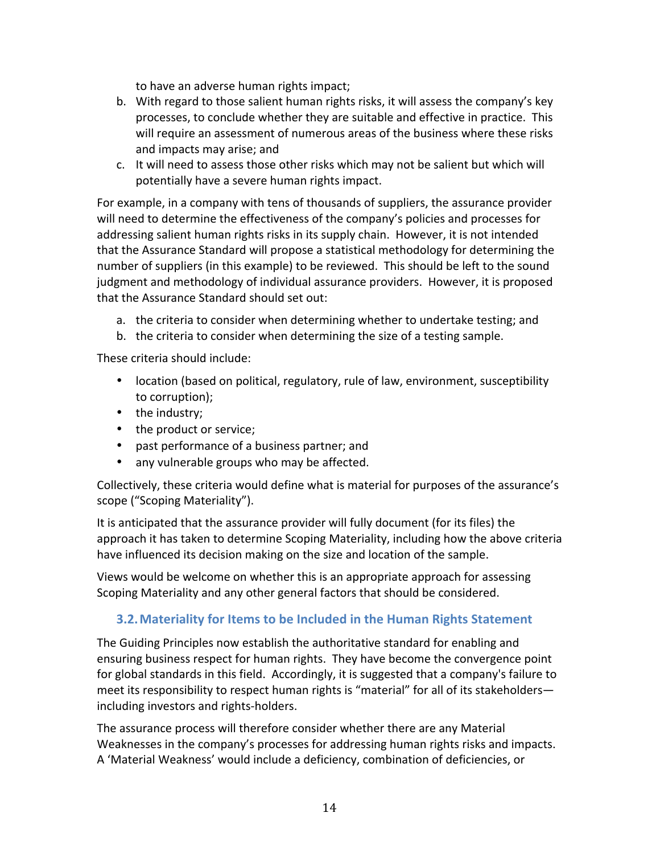to have an adverse human rights impact;

- b. With regard to those salient human rights risks, it will assess the company's key processes, to conclude whether they are suitable and effective in practice. This will require an assessment of numerous areas of the business where these risks and impacts may arise; and
- c. It will need to assess those other risks which may not be salient but which will potentially have a severe human rights impact.

For example, in a company with tens of thousands of suppliers, the assurance provider will need to determine the effectiveness of the company's policies and processes for addressing salient human rights risks in its supply chain. However, it is not intended that the Assurance Standard will propose a statistical methodology for determining the number of suppliers (in this example) to be reviewed. This should be left to the sound judgment and methodology of individual assurance providers. However, it is proposed that the Assurance Standard should set out:

- a. the criteria to consider when determining whether to undertake testing; and
- b. the criteria to consider when determining the size of a testing sample.

These criteria should include:

- location (based on political, regulatory, rule of law, environment, susceptibility to corruption);
- $\bullet$  the industry;
- the product or service;
- past performance of a business partner; and
- any vulnerable groups who may be affected.

Collectively, these criteria would define what is material for purposes of the assurance's scope ("Scoping Materiality").

It is anticipated that the assurance provider will fully document (for its files) the approach it has taken to determine Scoping Materiality, including how the above criteria have influenced its decision making on the size and location of the sample.

Views would be welcome on whether this is an appropriate approach for assessing Scoping Materiality and any other general factors that should be considered.

# **3.2. Materiality for Items to be Included in the Human Rights Statement**

The Guiding Principles now establish the authoritative standard for enabling and ensuring business respect for human rights. They have become the convergence point for global standards in this field. Accordingly, it is suggested that a company's failure to meet its responsibility to respect human rights is "material" for all of its stakeholders including investors and rights-holders.

The assurance process will therefore consider whether there are any Material Weaknesses in the company's processes for addressing human rights risks and impacts. A 'Material Weakness' would include a deficiency, combination of deficiencies, or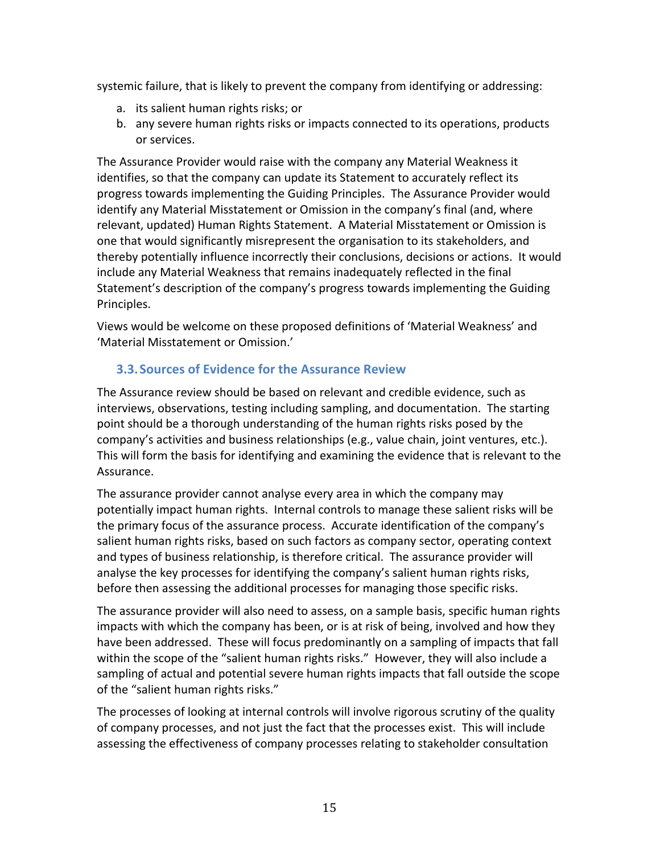systemic failure, that is likely to prevent the company from identifying or addressing:

- a. its salient human rights risks; or
- b. any severe human rights risks or impacts connected to its operations, products or services.

The Assurance Provider would raise with the company any Material Weakness it identifies, so that the company can update its Statement to accurately reflect its progress towards implementing the Guiding Principles. The Assurance Provider would identify any Material Misstatement or Omission in the company's final (and, where relevant, updated) Human Rights Statement. A Material Misstatement or Omission is one that would significantly misrepresent the organisation to its stakeholders, and thereby potentially influence incorrectly their conclusions, decisions or actions. It would include any Material Weakness that remains inadequately reflected in the final Statement's description of the company's progress towards implementing the Guiding Principles.

Views would be welcome on these proposed definitions of 'Material Weakness' and 'Material Misstatement or Omission.'

## **3.3. Sources of Evidence for the Assurance Review**

The Assurance review should be based on relevant and credible evidence, such as interviews, observations, testing including sampling, and documentation. The starting point should be a thorough understanding of the human rights risks posed by the company's activities and business relationships (e.g., value chain, joint ventures, etc.). This will form the basis for identifying and examining the evidence that is relevant to the Assurance. 

The assurance provider cannot analyse every area in which the company may potentially impact human rights. Internal controls to manage these salient risks will be the primary focus of the assurance process. Accurate identification of the company's salient human rights risks, based on such factors as company sector, operating context and types of business relationship, is therefore critical. The assurance provider will analyse the key processes for identifying the company's salient human rights risks, before then assessing the additional processes for managing those specific risks.

The assurance provider will also need to assess, on a sample basis, specific human rights impacts with which the company has been, or is at risk of being, involved and how they have been addressed. These will focus predominantly on a sampling of impacts that fall within the scope of the "salient human rights risks." However, they will also include a sampling of actual and potential severe human rights impacts that fall outside the scope of the "salient human rights risks."

The processes of looking at internal controls will involve rigorous scrutiny of the quality of company processes, and not just the fact that the processes exist. This will include assessing the effectiveness of company processes relating to stakeholder consultation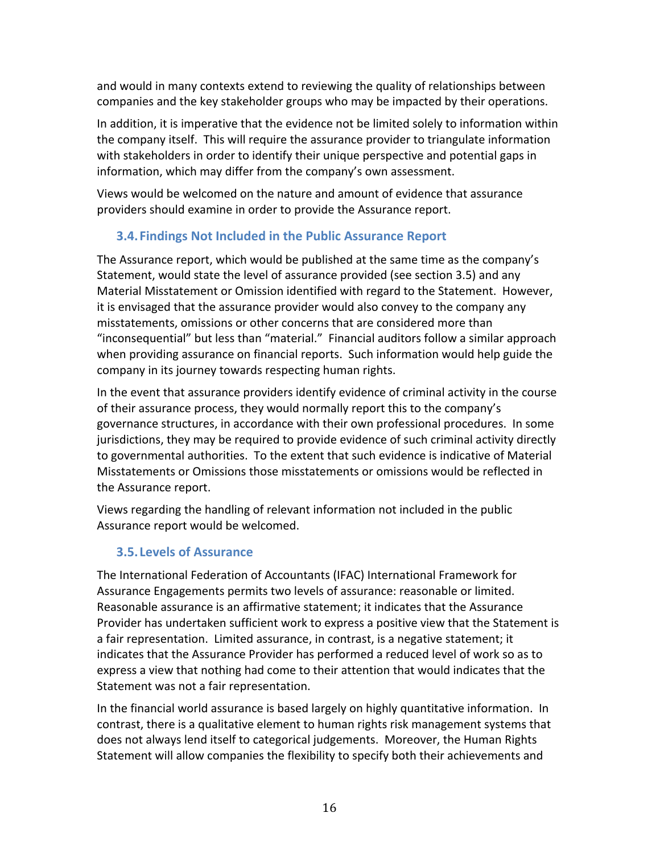and would in many contexts extend to reviewing the quality of relationships between companies and the key stakeholder groups who may be impacted by their operations.

In addition, it is imperative that the evidence not be limited solely to information within the company itself. This will require the assurance provider to triangulate information with stakeholders in order to identify their unique perspective and potential gaps in information, which may differ from the company's own assessment.

Views would be welcomed on the nature and amount of evidence that assurance providers should examine in order to provide the Assurance report.

## **3.4. Findings Not Included in the Public Assurance Report**

The Assurance report, which would be published at the same time as the company's Statement, would state the level of assurance provided (see section 3.5) and any Material Misstatement or Omission identified with regard to the Statement. However, it is envisaged that the assurance provider would also convey to the company any misstatements, omissions or other concerns that are considered more than "inconsequential" but less than "material." Financial auditors follow a similar approach when providing assurance on financial reports. Such information would help guide the company in its journey towards respecting human rights.

In the event that assurance providers identify evidence of criminal activity in the course of their assurance process, they would normally report this to the company's governance structures, in accordance with their own professional procedures. In some jurisdictions, they may be required to provide evidence of such criminal activity directly to governmental authorities. To the extent that such evidence is indicative of Material Misstatements or Omissions those misstatements or omissions would be reflected in the Assurance report.

Views regarding the handling of relevant information not included in the public Assurance report would be welcomed.

# **3.5. Levels of Assurance**

The International Federation of Accountants (IFAC) International Framework for Assurance Engagements permits two levels of assurance: reasonable or limited. Reasonable assurance is an affirmative statement; it indicates that the Assurance Provider has undertaken sufficient work to express a positive view that the Statement is a fair representation. Limited assurance, in contrast, is a negative statement; it indicates that the Assurance Provider has performed a reduced level of work so as to express a view that nothing had come to their attention that would indicates that the Statement was not a fair representation.

In the financial world assurance is based largely on highly quantitative information. In contrast, there is a qualitative element to human rights risk management systems that does not always lend itself to categorical judgements. Moreover, the Human Rights Statement will allow companies the flexibility to specify both their achievements and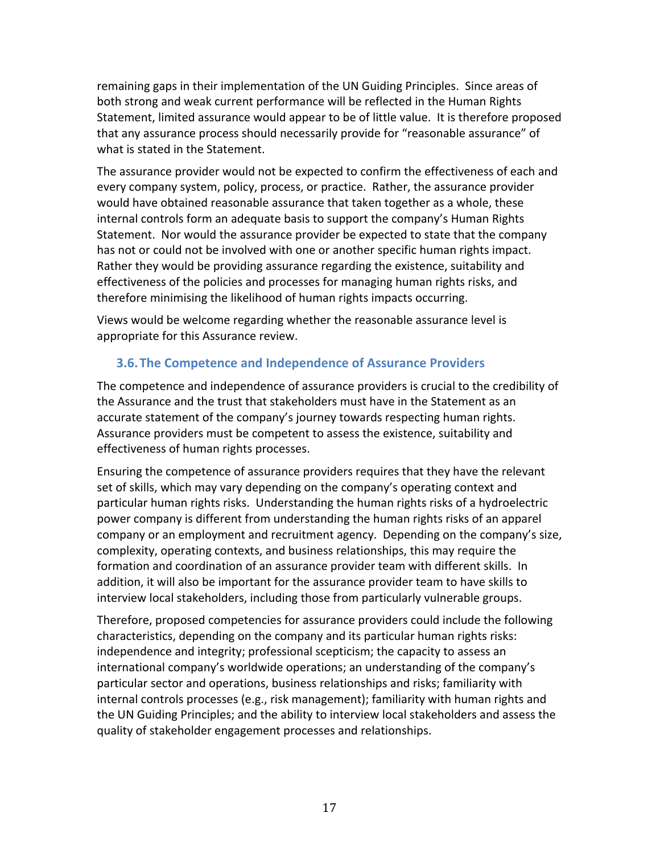remaining gaps in their implementation of the UN Guiding Principles. Since areas of both strong and weak current performance will be reflected in the Human Rights Statement, limited assurance would appear to be of little value. It is therefore proposed that any assurance process should necessarily provide for "reasonable assurance" of what is stated in the Statement.

The assurance provider would not be expected to confirm the effectiveness of each and every company system, policy, process, or practice. Rather, the assurance provider would have obtained reasonable assurance that taken together as a whole, these internal controls form an adequate basis to support the company's Human Rights Statement. Nor would the assurance provider be expected to state that the company has not or could not be involved with one or another specific human rights impact. Rather they would be providing assurance regarding the existence, suitability and effectiveness of the policies and processes for managing human rights risks, and therefore minimising the likelihood of human rights impacts occurring.

Views would be welcome regarding whether the reasonable assurance level is appropriate for this Assurance review.

## **3.6. The Competence and Independence of Assurance Providers**

The competence and independence of assurance providers is crucial to the credibility of the Assurance and the trust that stakeholders must have in the Statement as an accurate statement of the company's journey towards respecting human rights. Assurance providers must be competent to assess the existence, suitability and effectiveness of human rights processes.

Ensuring the competence of assurance providers requires that they have the relevant set of skills, which may vary depending on the company's operating context and particular human rights risks. Understanding the human rights risks of a hydroelectric power company is different from understanding the human rights risks of an apparel company or an employment and recruitment agency. Depending on the company's size, complexity, operating contexts, and business relationships, this may require the formation and coordination of an assurance provider team with different skills. In addition, it will also be important for the assurance provider team to have skills to interview local stakeholders, including those from particularly vulnerable groups.

Therefore, proposed competencies for assurance providers could include the following characteristics, depending on the company and its particular human rights risks: independence and integrity; professional scepticism; the capacity to assess an international company's worldwide operations; an understanding of the company's particular sector and operations, business relationships and risks; familiarity with internal controls processes (e.g., risk management); familiarity with human rights and the UN Guiding Principles; and the ability to interview local stakeholders and assess the quality of stakeholder engagement processes and relationships.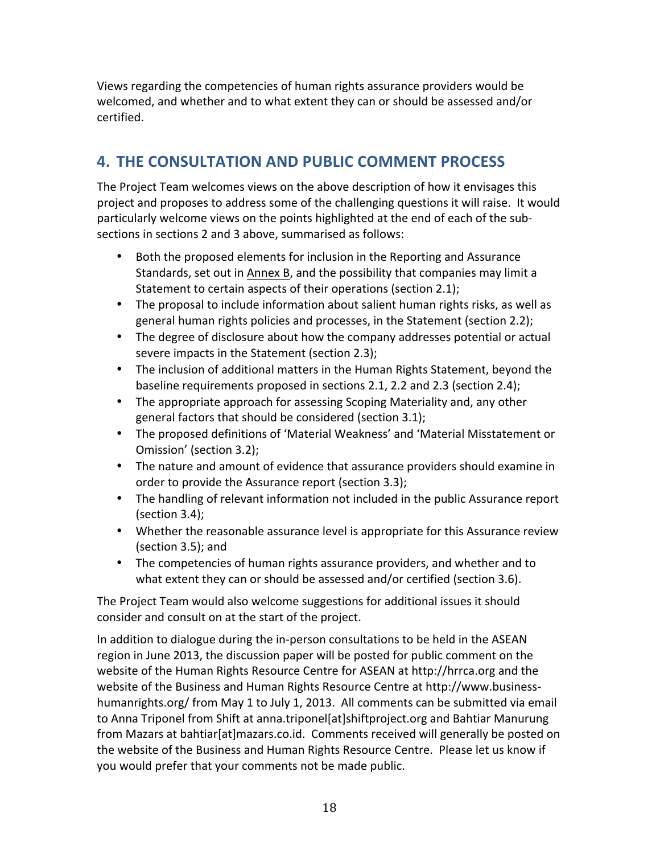Views regarding the competencies of human rights assurance providers would be welcomed, and whether and to what extent they can or should be assessed and/or certified.

# **4. THE CONSULTATION AND PUBLIC COMMENT PROCESS**

The Project Team welcomes views on the above description of how it envisages this project and proposes to address some of the challenging questions it will raise. It would particularly welcome views on the points highlighted at the end of each of the subsections in sections 2 and 3 above, summarised as follows:

- Both the proposed elements for inclusion in the Reporting and Assurance Standards, set out in Annex B, and the possibility that companies may limit a Statement to certain aspects of their operations (section 2.1);
- The proposal to include information about salient human rights risks, as well as general human rights policies and processes, in the Statement (section 2.2);
- The degree of disclosure about how the company addresses potential or actual severe impacts in the Statement (section 2.3);
- The inclusion of additional matters in the Human Rights Statement, beyond the baseline requirements proposed in sections 2.1, 2.2 and 2.3 (section 2.4);
- The appropriate approach for assessing Scoping Materiality and, any other general factors that should be considered (section 3.1);
- The proposed definitions of 'Material Weakness' and 'Material Misstatement or Omission' (section 3.2);
- The nature and amount of evidence that assurance providers should examine in order to provide the Assurance report (section 3.3);
- The handling of relevant information not included in the public Assurance report  $(section 3.4);$
- Whether the reasonable assurance level is appropriate for this Assurance review  $(section 3.5)$ ; and
- The competencies of human rights assurance providers, and whether and to what extent they can or should be assessed and/or certified (section 3.6).

The Project Team would also welcome suggestions for additional issues it should consider and consult on at the start of the project.

In addition to dialogue during the in-person consultations to be held in the ASEAN region in June 2013, the discussion paper will be posted for public comment on the website of the Human Rights Resource Centre for ASEAN at http://hrrca.org and the website of the Business and Human Rights Resource Centre at http://www.businesshumanrights.org/ from May 1 to July 1, 2013. All comments can be submitted via email to Anna Triponel from Shift at anna.triponel[at]shiftproject.org and Bahtiar Manurung from Mazars at bahtiar[at]mazars.co.id. Comments received will generally be posted on the website of the Business and Human Rights Resource Centre. Please let us know if you would prefer that your comments not be made public.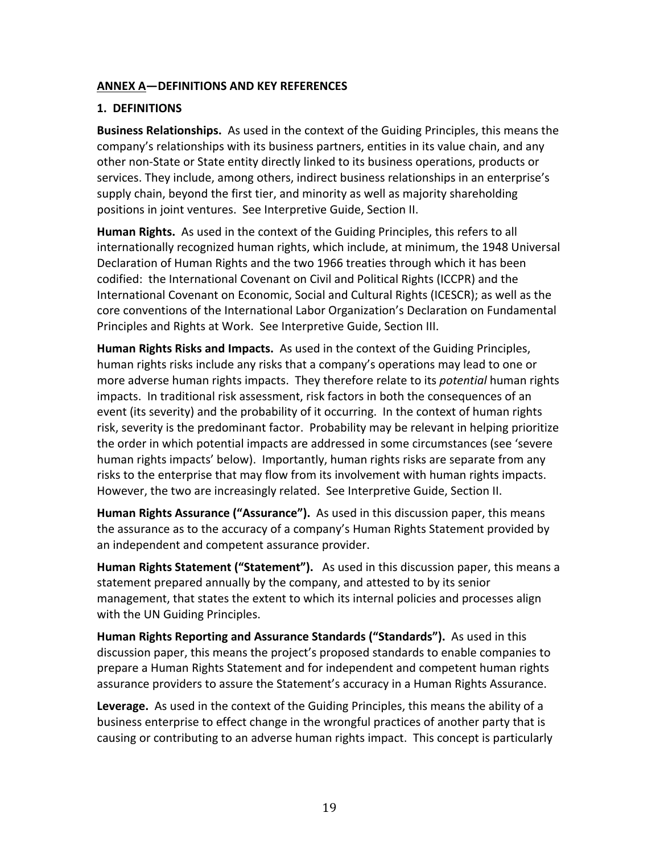#### **ANNEX A—DEFINITIONS AND KEY REFERENCES**

#### **1. DEFINITIONS**

**Business Relationships.** As used in the context of the Guiding Principles, this means the company's relationships with its business partners, entities in its value chain, and any other non-State or State entity directly linked to its business operations, products or services. They include, among others, indirect business relationships in an enterprise's supply chain, beyond the first tier, and minority as well as majority shareholding positions in joint ventures. See Interpretive Guide, Section II.

**Human Rights.** As used in the context of the Guiding Principles, this refers to all internationally recognized human rights, which include, at minimum, the 1948 Universal Declaration of Human Rights and the two 1966 treaties through which it has been codified: the International Covenant on Civil and Political Rights (ICCPR) and the International Covenant on Economic, Social and Cultural Rights (ICESCR); as well as the core conventions of the International Labor Organization's Declaration on Fundamental Principles and Rights at Work. See Interpretive Guide, Section III.

**Human Rights Risks and Impacts.** As used in the context of the Guiding Principles, human rights risks include any risks that a company's operations may lead to one or more adverse human rights impacts. They therefore relate to its *potential* human rights impacts. In traditional risk assessment, risk factors in both the consequences of an event (its severity) and the probability of it occurring. In the context of human rights risk, severity is the predominant factor. Probability may be relevant in helping prioritize the order in which potential impacts are addressed in some circumstances (see 'severe human rights impacts' below). Importantly, human rights risks are separate from any risks to the enterprise that may flow from its involvement with human rights impacts. However, the two are increasingly related. See Interpretive Guide, Section II.

**Human Rights Assurance ("Assurance").** As used in this discussion paper, this means the assurance as to the accuracy of a company's Human Rights Statement provided by an independent and competent assurance provider.

**Human Rights Statement ("Statement").** As used in this discussion paper, this means a statement prepared annually by the company, and attested to by its senior management, that states the extent to which its internal policies and processes align with the UN Guiding Principles.

**Human Rights Reporting and Assurance Standards ("Standards").** As used in this discussion paper, this means the project's proposed standards to enable companies to prepare a Human Rights Statement and for independent and competent human rights assurance providers to assure the Statement's accuracy in a Human Rights Assurance.

Leverage. As used in the context of the Guiding Principles, this means the ability of a business enterprise to effect change in the wrongful practices of another party that is causing or contributing to an adverse human rights impact. This concept is particularly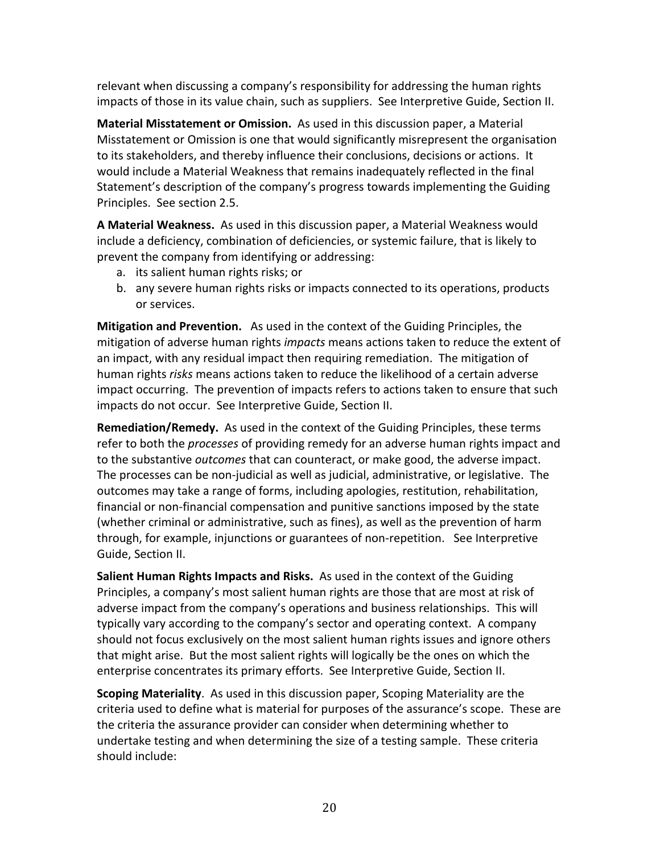relevant when discussing a company's responsibility for addressing the human rights impacts of those in its value chain, such as suppliers. See Interpretive Guide, Section II.

**Material Misstatement or Omission.** As used in this discussion paper, a Material Misstatement or Omission is one that would significantly misrepresent the organisation to its stakeholders, and thereby influence their conclusions, decisions or actions. It would include a Material Weakness that remains inadequately reflected in the final Statement's description of the company's progress towards implementing the Guiding Principles. See section 2.5.

A Material Weakness. As used in this discussion paper, a Material Weakness would include a deficiency, combination of deficiencies, or systemic failure, that is likely to prevent the company from identifying or addressing:

- a. its salient human rights risks; or
- b. any severe human rights risks or impacts connected to its operations, products or services.

**Mitigation and Prevention.** As used in the context of the Guiding Principles, the mitigation of adverse human rights *impacts* means actions taken to reduce the extent of an impact, with any residual impact then requiring remediation. The mitigation of human rights *risks* means actions taken to reduce the likelihood of a certain adverse impact occurring. The prevention of impacts refers to actions taken to ensure that such impacts do not occur. See Interpretive Guide, Section II.

**Remediation/Remedy.** As used in the context of the Guiding Principles, these terms refer to both the *processes* of providing remedy for an adverse human rights impact and to the substantive *outcomes* that can counteract, or make good, the adverse impact. The processes can be non-judicial as well as judicial, administrative, or legislative. The outcomes may take a range of forms, including apologies, restitution, rehabilitation, financial or non-financial compensation and punitive sanctions imposed by the state (whether criminal or administrative, such as fines), as well as the prevention of harm through, for example, injunctions or guarantees of non-repetition. See Interpretive Guide, Section II.

**Salient Human Rights Impacts and Risks.** As used in the context of the Guiding Principles, a company's most salient human rights are those that are most at risk of adverse impact from the company's operations and business relationships. This will typically vary according to the company's sector and operating context. A company should not focus exclusively on the most salient human rights issues and ignore others that might arise. But the most salient rights will logically be the ones on which the enterprise concentrates its primary efforts. See Interpretive Guide, Section II.

**Scoping Materiality**. As used in this discussion paper, Scoping Materiality are the criteria used to define what is material for purposes of the assurance's scope. These are the criteria the assurance provider can consider when determining whether to undertake testing and when determining the size of a testing sample. These criteria should include: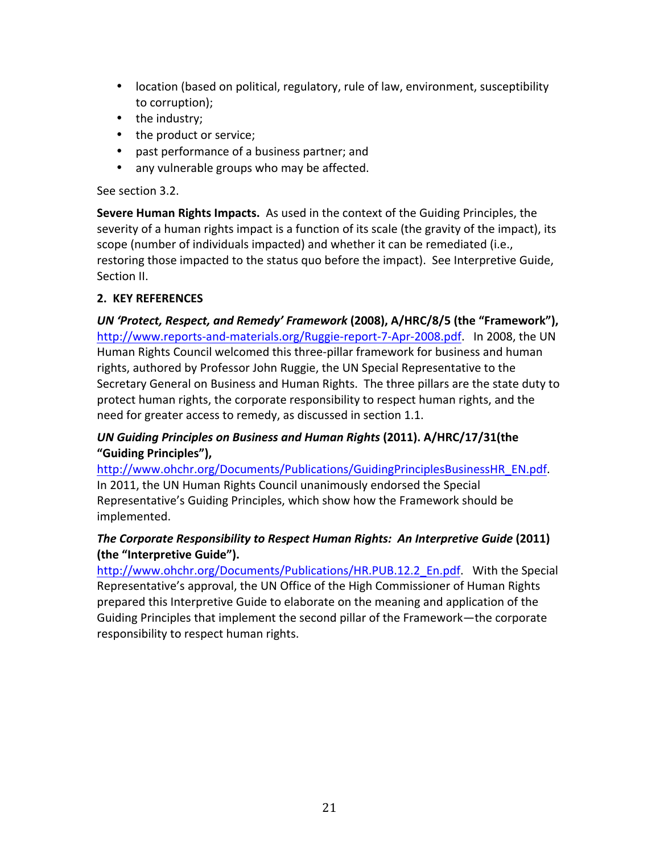- location (based on political, regulatory, rule of law, environment, susceptibility to corruption);
- the industry;
- the product or service;
- past performance of a business partner; and
- any vulnerable groups who may be affected.

#### See section 3.2.

**Severe Human Rights Impacts.** As used in the context of the Guiding Principles, the severity of a human rights impact is a function of its scale (the gravity of the impact), its scope (number of individuals impacted) and whether it can be remediated (i.e., restoring those impacted to the status quo before the impact). See Interpretive Guide, Section II.

#### **2. KEY REFERENCES**

*UN* 'Protect, Respect, and Remedy' Framework (2008), A/HRC/8/5 (the "Framework"), http://www.reports-and-materials.org/Ruggie-report-7-Apr-2008.pdf. In 2008, the UN Human Rights Council welcomed this three-pillar framework for business and human rights, authored by Professor John Ruggie, the UN Special Representative to the Secretary General on Business and Human Rights. The three pillars are the state duty to protect human rights, the corporate responsibility to respect human rights, and the need for greater access to remedy, as discussed in section 1.1.

#### *UN Guiding Principles on Business and Human Rights* **(2011). A/HRC/17/31(the "Guiding Principles"),**

http://www.ohchr.org/Documents/Publications/GuidingPrinciplesBusinessHR\_EN.pdf. In 2011, the UN Human Rights Council unanimously endorsed the Special Representative's Guiding Principles, which show how the Framework should be implemented. 

#### **The Corporate Responsibility to Respect Human Rights: An Interpretive Guide (2011)** (the "Interpretive Guide").

http://www.ohchr.org/Documents/Publications/HR.PUB.12.2\_En.pdf. With the Special Representative's approval, the UN Office of the High Commissioner of Human Rights prepared this Interpretive Guide to elaborate on the meaning and application of the Guiding Principles that implement the second pillar of the Framework—the corporate responsibility to respect human rights.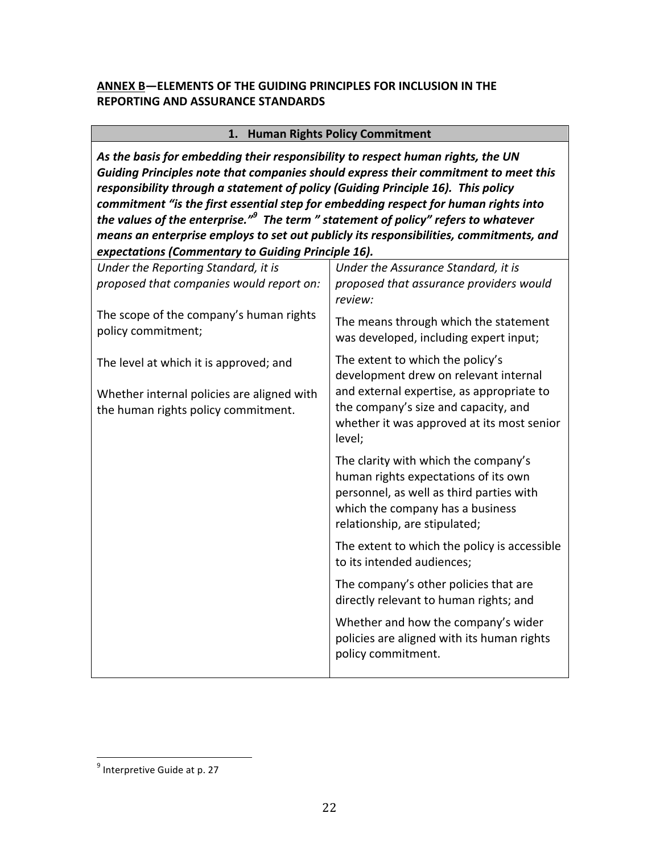#### **ANNEX B-ELEMENTS OF THE GUIDING PRINCIPLES FOR INCLUSION IN THE REPORTING AND ASSURANCE STANDARDS**

#### **1. Human Rights Policy Commitment**

As the basis for embedding their responsibility to respect human rights, the UN Guiding Principles note that companies should express their commitment to meet this responsibility through a statement of policy (Guiding Principle 16). This policy *commitment "is the first essential step for embedding respect for human rights into* the values of the enterprise."<sup>9</sup> The term " statement of policy" refers to whatever *means an enterprise employs to set out publicly its responsibilities, commitments, and expectations (Commentary to Guiding Principle 16).*

| Under the Reporting Standard, it is<br>proposed that companies would report on:   | Under the Assurance Standard, it is<br>proposed that assurance providers would<br>review:                                                                                                     |
|-----------------------------------------------------------------------------------|-----------------------------------------------------------------------------------------------------------------------------------------------------------------------------------------------|
| The scope of the company's human rights<br>policy commitment;                     | The means through which the statement<br>was developed, including expert input;                                                                                                               |
| The level at which it is approved; and                                            | The extent to which the policy's<br>development drew on relevant internal                                                                                                                     |
| Whether internal policies are aligned with<br>the human rights policy commitment. | and external expertise, as appropriate to<br>the company's size and capacity, and<br>whether it was approved at its most senior<br>level;                                                     |
|                                                                                   | The clarity with which the company's<br>human rights expectations of its own<br>personnel, as well as third parties with<br>which the company has a business<br>relationship, are stipulated; |
|                                                                                   | The extent to which the policy is accessible<br>to its intended audiences;                                                                                                                    |
|                                                                                   | The company's other policies that are<br>directly relevant to human rights; and                                                                                                               |
|                                                                                   | Whether and how the company's wider<br>policies are aligned with its human rights<br>policy commitment.                                                                                       |
|                                                                                   |                                                                                                                                                                                               |

 $9$  Interpretive Guide at p. 27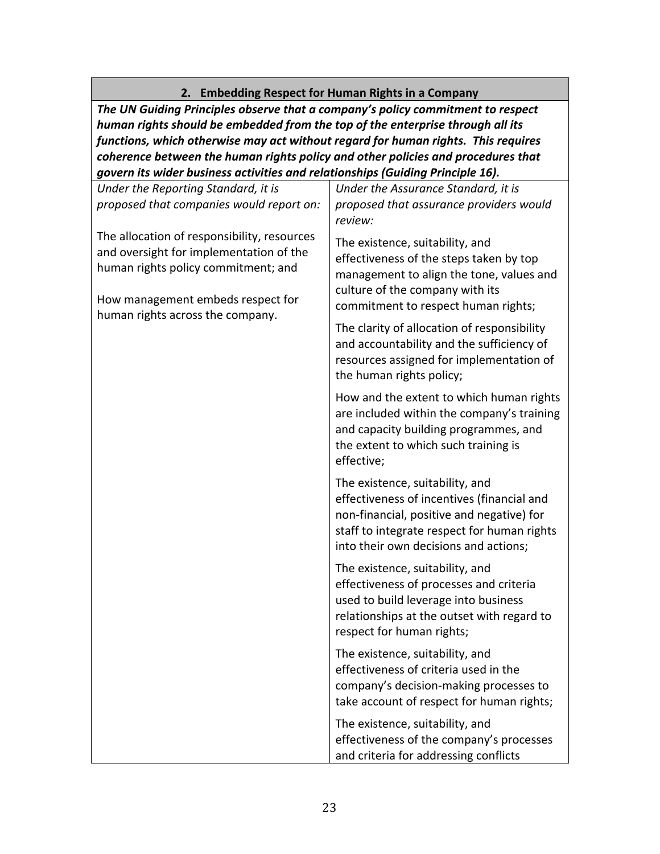# **2. Embedding Respect for Human Rights in a Company**

The UN Guiding Principles observe that a company's policy commitment to respect *human rights should be embedded from the top of the enterprise through all its* functions, which otherwise may act without regard for human rights. This requires *coherence between the human rights policy and other policies and procedures that* govern its wider business activities and relationships (Guiding Principle 16).

| Under the Reporting Standard, it is<br>proposed that companies would report on:                                                                                    | Under the Assurance Standard, it is<br>proposed that assurance providers would<br>review:                                                                                                                          |
|--------------------------------------------------------------------------------------------------------------------------------------------------------------------|--------------------------------------------------------------------------------------------------------------------------------------------------------------------------------------------------------------------|
| The allocation of responsibility, resources<br>and oversight for implementation of the<br>human rights policy commitment; and<br>How management embeds respect for | The existence, suitability, and<br>effectiveness of the steps taken by top<br>management to align the tone, values and<br>culture of the company with its<br>commitment to respect human rights;                   |
| human rights across the company.                                                                                                                                   | The clarity of allocation of responsibility<br>and accountability and the sufficiency of<br>resources assigned for implementation of<br>the human rights policy;                                                   |
|                                                                                                                                                                    | How and the extent to which human rights<br>are included within the company's training<br>and capacity building programmes, and<br>the extent to which such training is<br>effective;                              |
|                                                                                                                                                                    | The existence, suitability, and<br>effectiveness of incentives (financial and<br>non-financial, positive and negative) for<br>staff to integrate respect for human rights<br>into their own decisions and actions; |
|                                                                                                                                                                    | The existence, suitability, and<br>effectiveness of processes and criteria<br>used to build leverage into business<br>relationships at the outset with regard to<br>respect for human rights;                      |
|                                                                                                                                                                    | The existence, suitability, and<br>effectiveness of criteria used in the<br>company's decision-making processes to<br>take account of respect for human rights;                                                    |
|                                                                                                                                                                    | The existence, suitability, and<br>effectiveness of the company's processes<br>and criteria for addressing conflicts                                                                                               |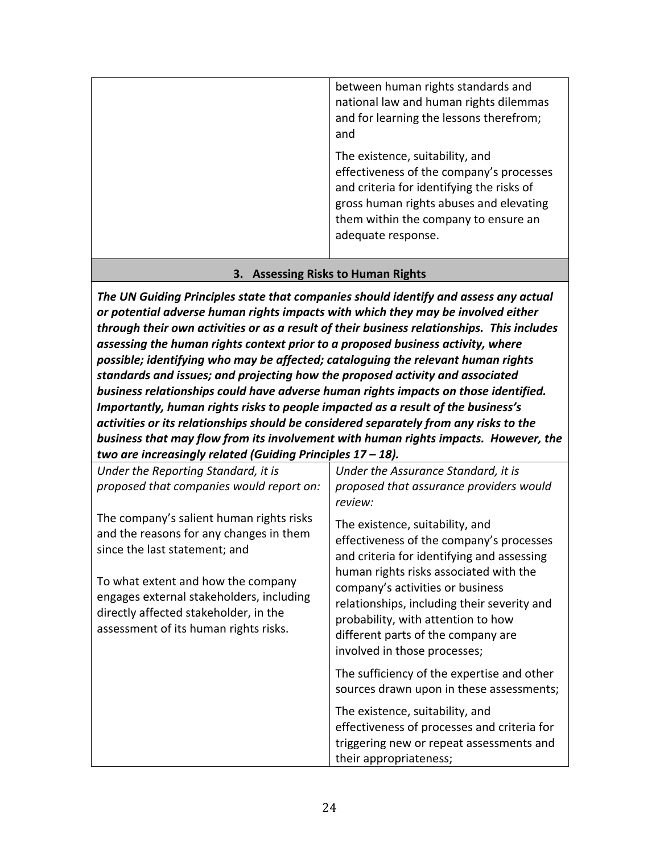| between human rights standards and<br>national law and human rights dilemmas<br>and for learning the lessons therefrom;<br>and                                                                                                    |
|-----------------------------------------------------------------------------------------------------------------------------------------------------------------------------------------------------------------------------------|
| The existence, suitability, and<br>effectiveness of the company's processes<br>and criteria for identifying the risks of<br>gross human rights abuses and elevating<br>them within the company to ensure an<br>adequate response. |

#### **3. Assessing Risks to Human Rights**

The UN Guiding Principles state that companies should identify and assess any actual or potential adverse human rights impacts with which they may be involved either through their own activities or as a result of their business relationships. This includes assessing the human rights context prior to a proposed business activity, where possible; identifying who may be affected; cataloguing the relevant human rights standards and issues; and projecting how the proposed activity and associated business relationships could have adverse human rights impacts on those identified. *Importantly, human rights risks to people impacted as a result of the business's activities* or its relationships should be considered separately from any risks to the business that may flow from its involvement with human rights impacts. However, the *two are increasingly related (Guiding Principles 17 – 18).* 

| Under the Reporting Standard, it is                                                                                                                              | Under the Assurance Standard, it is                                                                                                                                                         |
|------------------------------------------------------------------------------------------------------------------------------------------------------------------|---------------------------------------------------------------------------------------------------------------------------------------------------------------------------------------------|
| proposed that companies would report on:                                                                                                                         | proposed that assurance providers would<br>review:                                                                                                                                          |
| The company's salient human rights risks<br>and the reasons for any changes in them<br>since the last statement; and                                             | The existence, suitability, and<br>effectiveness of the company's processes<br>and criteria for identifying and assessing<br>human rights risks associated with the                         |
| To what extent and how the company<br>engages external stakeholders, including<br>directly affected stakeholder, in the<br>assessment of its human rights risks. | company's activities or business<br>relationships, including their severity and<br>probability, with attention to how<br>different parts of the company are<br>involved in those processes; |
|                                                                                                                                                                  | The sufficiency of the expertise and other<br>sources drawn upon in these assessments;                                                                                                      |
|                                                                                                                                                                  | The existence, suitability, and                                                                                                                                                             |
|                                                                                                                                                                  | effectiveness of processes and criteria for                                                                                                                                                 |
|                                                                                                                                                                  | triggering new or repeat assessments and                                                                                                                                                    |
|                                                                                                                                                                  | their appropriateness;                                                                                                                                                                      |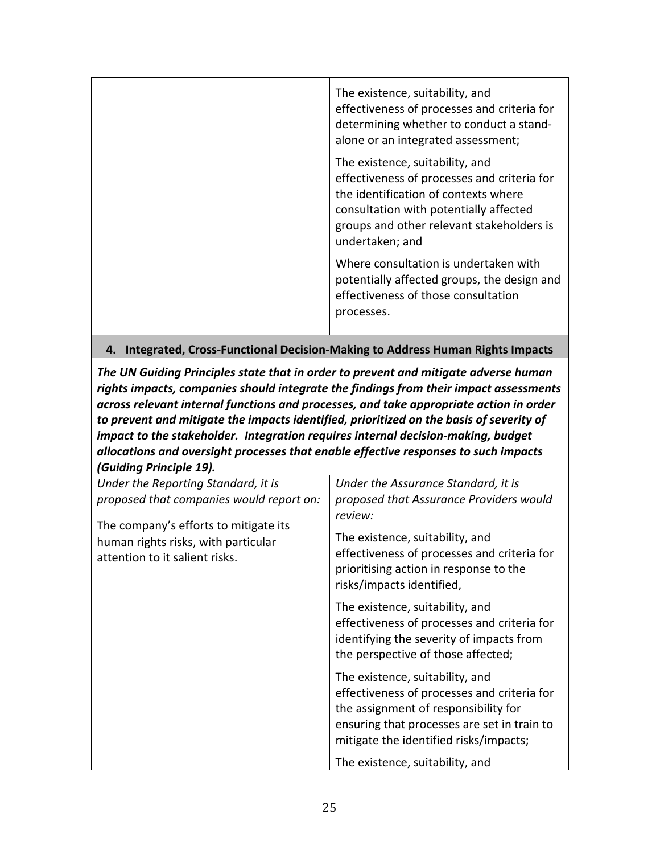| The existence, suitability, and<br>effectiveness of processes and criteria for<br>determining whether to conduct a stand-<br>alone or an integrated assessment;                                                                  |
|----------------------------------------------------------------------------------------------------------------------------------------------------------------------------------------------------------------------------------|
| The existence, suitability, and<br>effectiveness of processes and criteria for<br>the identification of contexts where<br>consultation with potentially affected<br>groups and other relevant stakeholders is<br>undertaken; and |
| Where consultation is undertaken with<br>potentially affected groups, the design and<br>effectiveness of those consultation<br>processes.                                                                                        |

#### **4. Integrated, Cross-Functional Decision-Making to Address Human Rights Impacts**

The UN Guiding Principles state that in order to prevent and mitigate adverse human rights impacts, companies should integrate the findings from their impact assessments across relevant internal functions and processes, and take appropriate action in order to prevent and mitigate the impacts identified, prioritized on the basis of severity of *impact to the stakeholder. Integration requires internal decision-making, budget* allocations and oversight processes that enable effective responses to such impacts *(Guiding Principle 19).*

| saranng : rmerpre 237.                                                                                         |                                                                                                                                                                                                                 |
|----------------------------------------------------------------------------------------------------------------|-----------------------------------------------------------------------------------------------------------------------------------------------------------------------------------------------------------------|
| Under the Reporting Standard, it is                                                                            | Under the Assurance Standard, it is                                                                                                                                                                             |
| proposed that companies would report on:                                                                       | proposed that Assurance Providers would                                                                                                                                                                         |
| The company's efforts to mitigate its<br>human rights risks, with particular<br>attention to it salient risks. | review:<br>The existence, suitability, and<br>effectiveness of processes and criteria for<br>prioritising action in response to the<br>risks/impacts identified,                                                |
|                                                                                                                | The existence, suitability, and<br>effectiveness of processes and criteria for<br>identifying the severity of impacts from<br>the perspective of those affected;                                                |
|                                                                                                                | The existence, suitability, and<br>effectiveness of processes and criteria for<br>the assignment of responsibility for<br>ensuring that processes are set in train to<br>mitigate the identified risks/impacts; |
|                                                                                                                | The existence, suitability, and                                                                                                                                                                                 |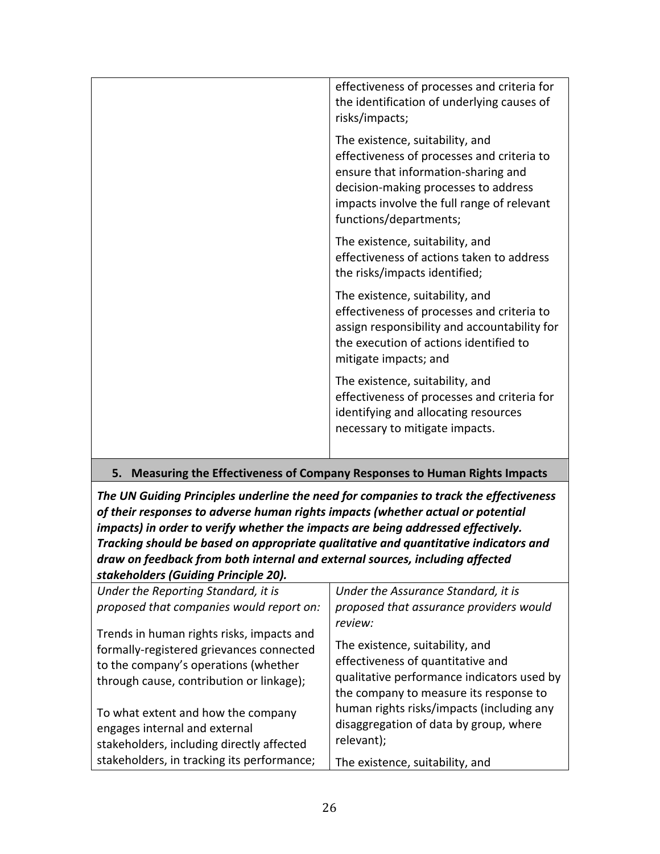| effectiveness of processes and criteria for<br>the identification of underlying causes of<br>risks/impacts;                                                                                                                          |
|--------------------------------------------------------------------------------------------------------------------------------------------------------------------------------------------------------------------------------------|
| The existence, suitability, and<br>effectiveness of processes and criteria to<br>ensure that information-sharing and<br>decision-making processes to address<br>impacts involve the full range of relevant<br>functions/departments; |
| The existence, suitability, and<br>effectiveness of actions taken to address<br>the risks/impacts identified;                                                                                                                        |
| The existence, suitability, and<br>effectiveness of processes and criteria to<br>assign responsibility and accountability for<br>the execution of actions identified to<br>mitigate impacts; and                                     |
| The existence, suitability, and<br>effectiveness of processes and criteria for<br>identifying and allocating resources<br>necessary to mitigate impacts.                                                                             |

#### **5.** Measuring the Effectiveness of Company Responses to Human Rights Impacts

The UN Guiding Principles underline the need for companies to track the effectiveness of their responses to adverse human rights impacts (whether actual or potential *impacts)* in order to verify whether the impacts are being addressed effectively. Tracking should be based on appropriate qualitative and quantitative indicators and draw on feedback from both internal and external sources, including affected *stakeholders (Guiding Principle 20).*

| Under the Reporting Standard, it is        | Under the Assurance Standard, it is        |
|--------------------------------------------|--------------------------------------------|
| proposed that companies would report on:   | proposed that assurance providers would    |
| Trends in human rights risks, impacts and  | review:                                    |
| formally-registered grievances connected   | The existence, suitability, and            |
| to the company's operations (whether       | effectiveness of quantitative and          |
| through cause, contribution or linkage);   | qualitative performance indicators used by |
|                                            | the company to measure its response to     |
| To what extent and how the company         | human rights risks/impacts (including any  |
| engages internal and external              | disaggregation of data by group, where     |
| stakeholders, including directly affected  | relevant);                                 |
| stakeholders, in tracking its performance; | The existence, suitability, and            |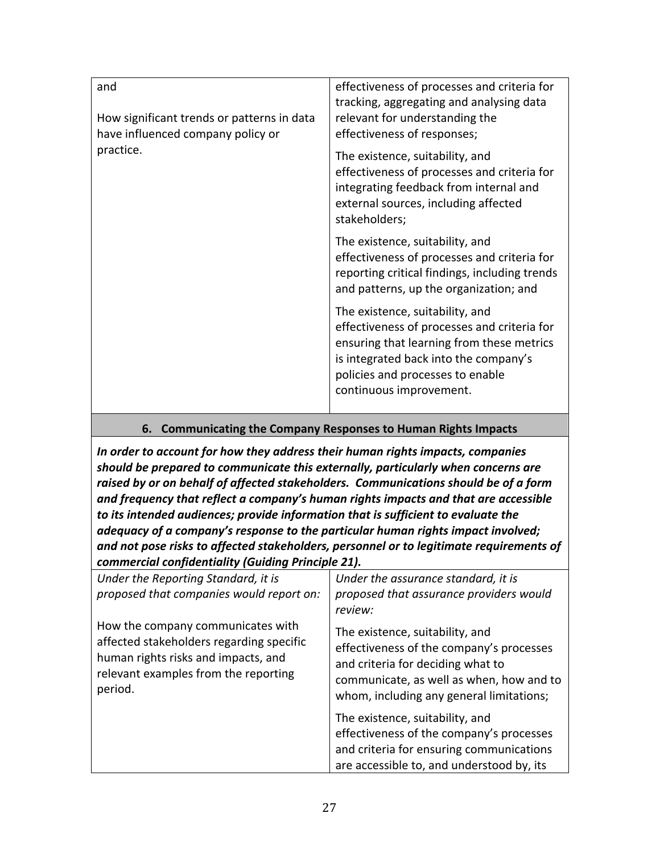| and                                                                             | effectiveness of processes and criteria for<br>tracking, aggregating and analysing data                                                                                                                                             |
|---------------------------------------------------------------------------------|-------------------------------------------------------------------------------------------------------------------------------------------------------------------------------------------------------------------------------------|
| How significant trends or patterns in data<br>have influenced company policy or | relevant for understanding the<br>effectiveness of responses;                                                                                                                                                                       |
| practice.                                                                       | The existence, suitability, and<br>effectiveness of processes and criteria for<br>integrating feedback from internal and<br>external sources, including affected<br>stakeholders;                                                   |
|                                                                                 | The existence, suitability, and<br>effectiveness of processes and criteria for<br>reporting critical findings, including trends<br>and patterns, up the organization; and                                                           |
|                                                                                 | The existence, suitability, and<br>effectiveness of processes and criteria for<br>ensuring that learning from these metrics<br>is integrated back into the company's<br>policies and processes to enable<br>continuous improvement. |

#### **6.** Communicating the Company Responses to Human Rights Impacts

In order to account for how they address their human rights impacts, companies should be prepared to communicate this externally, particularly when concerns are raised by or on behalf of affected stakeholders. Communications should be of a form and frequency that reflect a company's human rights impacts and that are accessible to its intended audiences; provide information that is sufficient to evaluate the *adequacy* of a company's response to the particular human rights impact involved; and not pose risks to affected stakeholders, personnel or to legitimate requirements of *commercial confidentiality (Guiding Principle 21).*

| Under the Reporting Standard, it is<br>proposed that companies would report on:                                                                                         | Under the assurance standard, it is<br>proposed that assurance providers would<br>review:                                                                                                                |  |
|-------------------------------------------------------------------------------------------------------------------------------------------------------------------------|----------------------------------------------------------------------------------------------------------------------------------------------------------------------------------------------------------|--|
| How the company communicates with<br>affected stakeholders regarding specific<br>human rights risks and impacts, and<br>relevant examples from the reporting<br>period. | The existence, suitability, and<br>effectiveness of the company's processes<br>and criteria for deciding what to<br>communicate, as well as when, how and to<br>whom, including any general limitations; |  |
|                                                                                                                                                                         | The existence, suitability, and<br>effectiveness of the company's processes<br>and criteria for ensuring communications<br>are accessible to, and understood by, its                                     |  |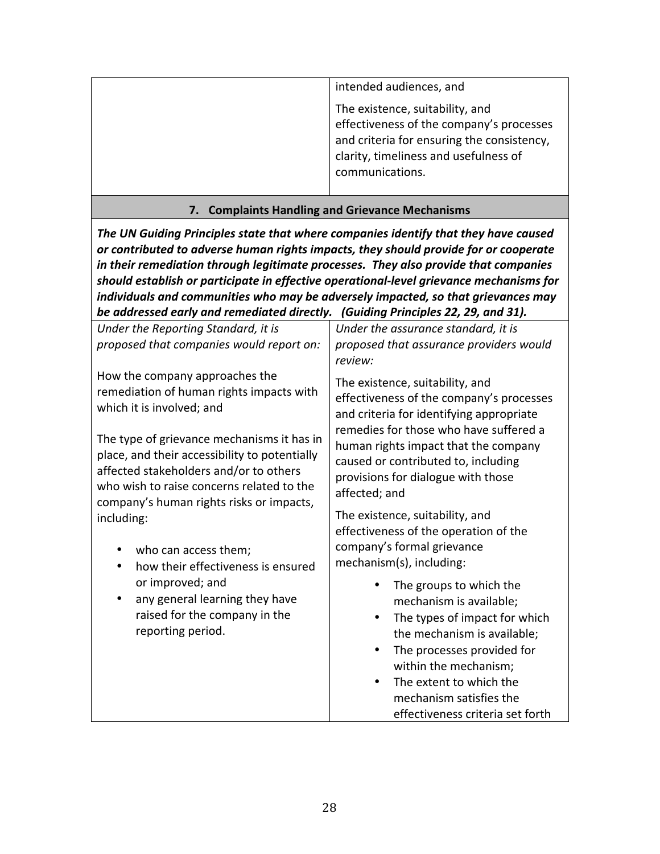| intended audiences, and<br>The existence, suitability, and<br>effectiveness of the company's processes |
|--------------------------------------------------------------------------------------------------------|
| and criteria for ensuring the consistency,<br>clarity, timeliness and usefulness of<br>communications. |

#### **7. Complaints Handling and Grievance Mechanisms**

The UN Guiding Principles state that where companies identify that they have caused or contributed to adverse human rights impacts, they should provide for or cooperate in their remediation through legitimate processes. They also provide that companies should establish or participate in effective operational-level grievance mechanisms for *individuals and communities who may be adversely impacted, so that grievances may be addressed early and remediated directly.* (Guiding Principles 22, 29, and 31).

| Under the Reporting Standard, it is<br>proposed that companies would report on:                                                                                                                                                | Under the assurance standard, it is<br>proposed that assurance providers would<br>review:                                                                                                                                                                                                               |
|--------------------------------------------------------------------------------------------------------------------------------------------------------------------------------------------------------------------------------|---------------------------------------------------------------------------------------------------------------------------------------------------------------------------------------------------------------------------------------------------------------------------------------------------------|
| How the company approaches the<br>remediation of human rights impacts with<br>which it is involved; and                                                                                                                        | The existence, suitability, and<br>effectiveness of the company's processes<br>and criteria for identifying appropriate<br>remedies for those who have suffered a<br>human rights impact that the company<br>caused or contributed to, including<br>provisions for dialogue with those<br>affected; and |
| The type of grievance mechanisms it has in<br>place, and their accessibility to potentially<br>affected stakeholders and/or to others<br>who wish to raise concerns related to the<br>company's human rights risks or impacts, |                                                                                                                                                                                                                                                                                                         |
| including:<br>who can access them;<br>how their effectiveness is ensured<br>or improved; and<br>any general learning they have<br>raised for the company in the<br>reporting period.                                           | The existence, suitability, and<br>effectiveness of the operation of the<br>company's formal grievance<br>mechanism(s), including:                                                                                                                                                                      |
|                                                                                                                                                                                                                                | The groups to which the<br>mechanism is available;<br>The types of impact for which<br>the mechanism is available;<br>The processes provided for<br>within the mechanism;<br>The extent to which the<br>٠<br>mechanism satisfies the<br>effectiveness criteria set forth                                |